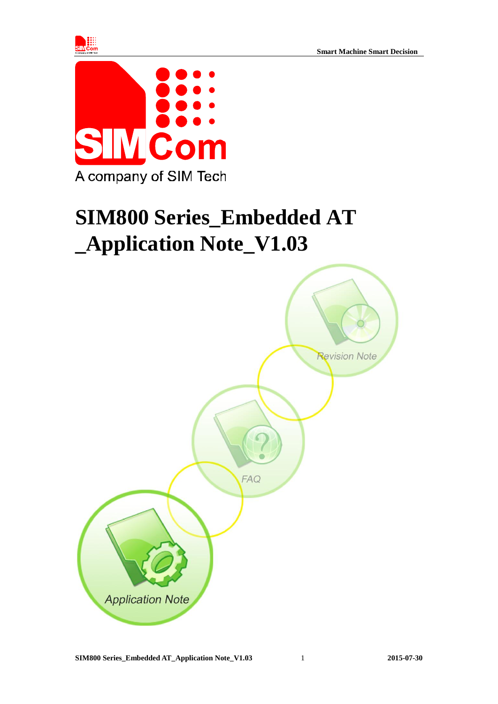



# **SIM800 Series\_Embedded AT \_Application Note\_V1.03**

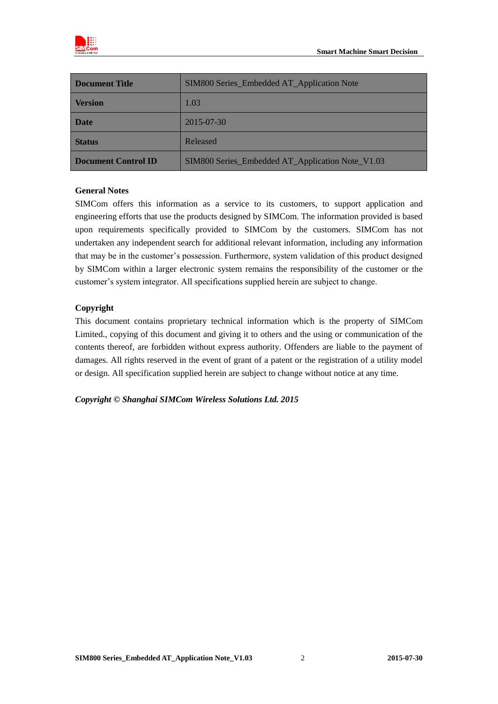

| <b>Document Title</b> | SIM800 Series_Embedded AT_Application Note       |
|-----------------------|--------------------------------------------------|
| <b>Version</b>        | 1.03                                             |
| <b>Date</b>           | 2015-07-30                                       |
| <b>Status</b>         | Released                                         |
| Document Control ID   | SIM800 Series_Embedded AT_Application Note_V1.03 |

### **General Notes**

SIMCom offers this information as a service to its customers, to support application and engineering efforts that use the products designed by SIMCom. The information provided is based upon requirements specifically provided to SIMCom by the customers. SIMCom has not undertaken any independent search for additional relevant information, including any information that may be in the customer's possession. Furthermore, system validation of this product designed by SIMCom within a larger electronic system remains the responsibility of the customer or the customer's system integrator. All specifications supplied herein are subject to change.

### **Copyright**

This document contains proprietary technical information which is the property of SIMCom Limited., copying of this document and giving it to others and the using or communication of the contents thereof, are forbidden without express authority. Offenders are liable to the payment of damages. All rights reserved in the event of grant of a patent or the registration of a utility model or design. All specification supplied herein are subject to change without notice at any time.

*Copyright © Shanghai SIMCom Wireless Solutions Ltd. 2015*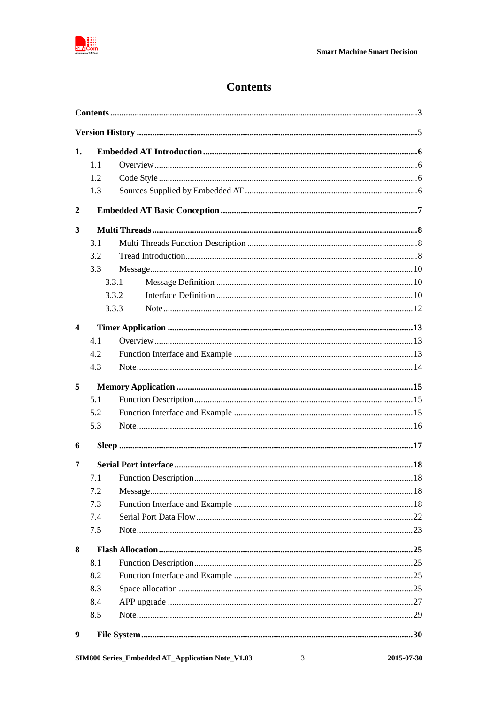

# **Contents**

<span id="page-2-0"></span>

| 1.               |     |                                                  |   |            |  |
|------------------|-----|--------------------------------------------------|---|------------|--|
|                  | 1.1 |                                                  |   |            |  |
|                  | 1.2 |                                                  |   |            |  |
|                  | 1.3 |                                                  |   |            |  |
| $\boldsymbol{2}$ |     |                                                  |   |            |  |
| 3                |     |                                                  |   |            |  |
|                  | 3.1 |                                                  |   |            |  |
|                  | 3.2 |                                                  |   |            |  |
|                  | 3.3 |                                                  |   |            |  |
|                  |     | 3.3.1                                            |   |            |  |
|                  |     | 3.3.2                                            |   |            |  |
|                  |     | 3.3.3                                            |   |            |  |
| $\boldsymbol{4}$ |     |                                                  |   |            |  |
|                  | 4.1 |                                                  |   |            |  |
|                  | 4.2 |                                                  |   |            |  |
|                  | 4.3 |                                                  |   |            |  |
| 5                |     |                                                  |   |            |  |
|                  | 5.1 |                                                  |   |            |  |
|                  | 5.2 |                                                  |   |            |  |
|                  | 5.3 |                                                  |   |            |  |
| 6                |     |                                                  |   |            |  |
| 7                |     |                                                  |   |            |  |
|                  | 7.1 |                                                  |   |            |  |
|                  | 7.2 |                                                  |   |            |  |
|                  | 7.3 |                                                  |   |            |  |
|                  | 7.4 |                                                  |   |            |  |
|                  | 7.5 |                                                  |   |            |  |
| 8                |     |                                                  |   |            |  |
|                  | 8.1 |                                                  |   |            |  |
|                  | 8.2 |                                                  |   |            |  |
|                  | 8.3 |                                                  |   |            |  |
|                  | 8.4 |                                                  |   |            |  |
|                  | 8.5 |                                                  |   |            |  |
| 9                |     |                                                  |   |            |  |
|                  |     | SIM800 Series_Embedded AT_Application Note_V1.03 | 3 | 2015-07-30 |  |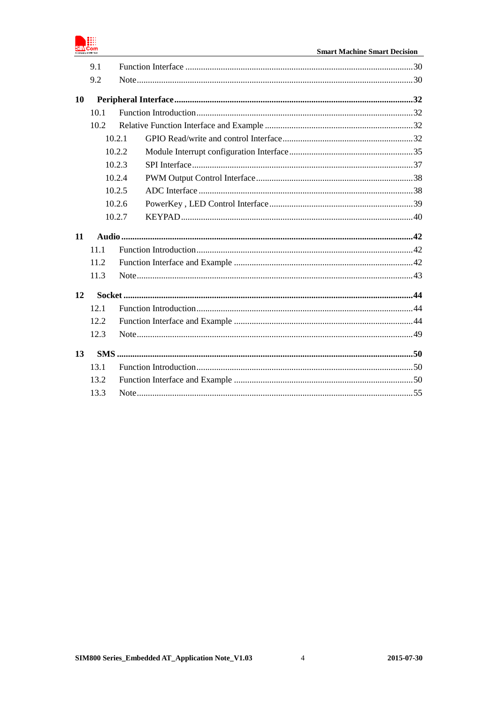

|           | 9.1  |        |  |  |
|-----------|------|--------|--|--|
|           | 9.2  |        |  |  |
| <b>10</b> |      |        |  |  |
|           | 10.1 |        |  |  |
|           | 10.2 |        |  |  |
|           |      | 10.2.1 |  |  |
|           |      | 10.2.2 |  |  |
|           |      | 10.2.3 |  |  |
|           |      | 10.2.4 |  |  |
|           |      | 10.2.5 |  |  |
|           |      | 10.2.6 |  |  |
|           |      | 10.2.7 |  |  |
| <b>11</b> |      |        |  |  |
|           | 11.1 |        |  |  |
|           | 11.2 |        |  |  |
|           | 11.3 |        |  |  |
| 12        |      |        |  |  |
|           | 12.1 |        |  |  |
|           | 12.2 |        |  |  |
| 12.3      |      |        |  |  |
|           |      |        |  |  |
| 13        |      |        |  |  |
|           | 13.1 |        |  |  |
|           | 13.2 |        |  |  |
|           | 13.3 |        |  |  |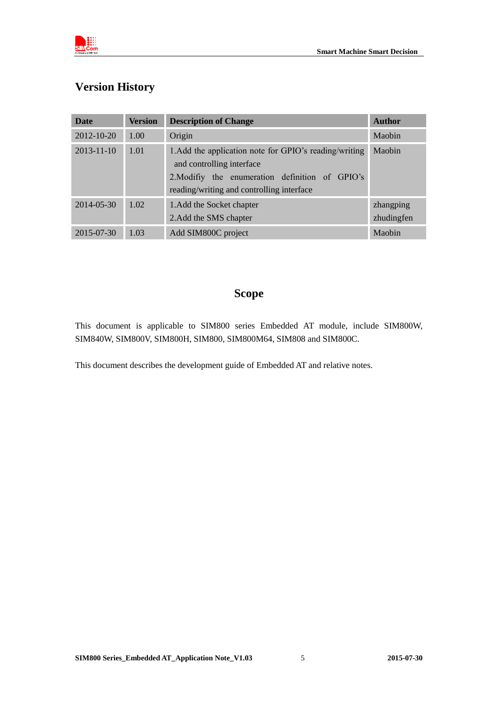

# <span id="page-4-0"></span>**Version History**

| <b>Date</b>      | <b>Version</b> | <b>Description of Change</b>                                                                                                                                                        | <b>Author</b>           |
|------------------|----------------|-------------------------------------------------------------------------------------------------------------------------------------------------------------------------------------|-------------------------|
| $2012 - 10 - 20$ | 1.00           | Origin                                                                                                                                                                              | Maobin                  |
| $2013 - 11 - 10$ | 1.01           | 1. Add the application note for GPIO's reading/writing<br>and controlling interface<br>2. Modifiy the enumeration definition of GPIO's<br>reading/writing and controlling interface | Maobin                  |
| 2014-05-30       | 1.02           | 1. Add the Socket chapter<br>2. Add the SMS chapter                                                                                                                                 | zhangping<br>zhudingfen |
| 2015-07-30       | 1.03           | Add SIM800C project                                                                                                                                                                 | Maobin                  |

# **Scope**

This document is applicable to SIM800 series Embedded AT module, include SIM800W, SIM840W, SIM800V, SIM800H, SIM800, SIM800M64, SIM808 and SIM800C.

This document describes the development guide of Embedded AT and relative notes.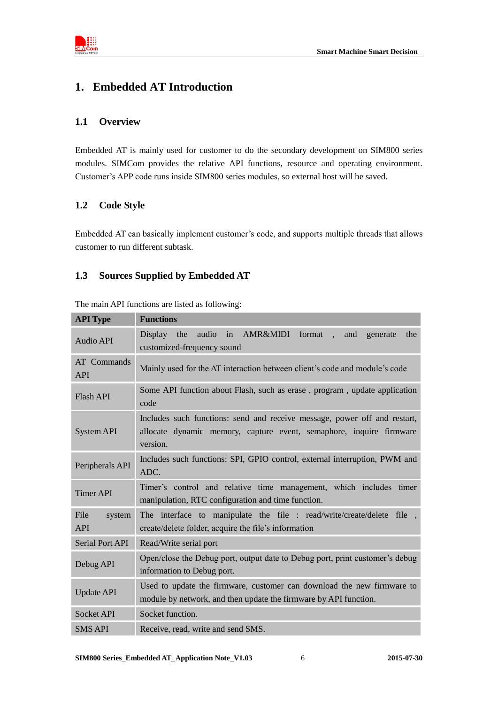

# <span id="page-5-0"></span>**1. Embedded AT Introduction**

### <span id="page-5-1"></span>**1.1 Overview**

Embedded AT is mainly used for customer to do the secondary development on SIM800 series modules. SIMCom provides the relative API functions, resource and operating environment. Customer's APP code runs inside SIM800 series modules, so external host will be saved.

### <span id="page-5-2"></span>**1.2 Code Style**

Embedded AT can basically implement customer's code, and supports multiple threads that allows customer to run different subtask.

### <span id="page-5-3"></span>**1.3 Sources Supplied by Embedded AT**

| <b>API Type</b>                  | <b>Functions</b>                                                                                                                                             |  |  |
|----------------------------------|--------------------------------------------------------------------------------------------------------------------------------------------------------------|--|--|
| Audio API                        | audio<br>in AMR&MIDI<br>format<br><b>Display</b><br>the<br>the<br>and<br>generate<br>♦<br>customized-frequency sound                                         |  |  |
| <b>AT</b> Commands<br><b>API</b> | Mainly used for the AT interaction between client's code and module's code                                                                                   |  |  |
| <b>Flash API</b>                 | Some API function about Flash, such as erase, program, update application<br>code                                                                            |  |  |
| <b>System API</b>                | Includes such functions: send and receive message, power off and restart,<br>allocate dynamic memory, capture event, semaphore, inquire firmware<br>version. |  |  |
| Peripherals API                  | Includes such functions: SPI, GPIO control, external interruption, PWM and<br>ADC.                                                                           |  |  |
| <b>Timer API</b>                 | Timer's control and relative time management, which includes timer<br>manipulation, RTC configuration and time function.                                     |  |  |
| File<br>system<br><b>API</b>     | The interface to manipulate the file : read/write/create/delete file,<br>create/delete folder, acquire the file's information                                |  |  |
| Serial Port API                  | Read/Write serial port                                                                                                                                       |  |  |
| Debug API                        | Open/close the Debug port, output date to Debug port, print customer's debug<br>information to Debug port.                                                   |  |  |
| <b>Update API</b>                | Used to update the firmware, customer can download the new firmware to<br>module by network, and then update the firmware by API function.                   |  |  |
| <b>Socket API</b>                | Socket function.                                                                                                                                             |  |  |
| <b>SMS API</b>                   | Receive, read, write and send SMS.                                                                                                                           |  |  |

The main API functions are listed as following: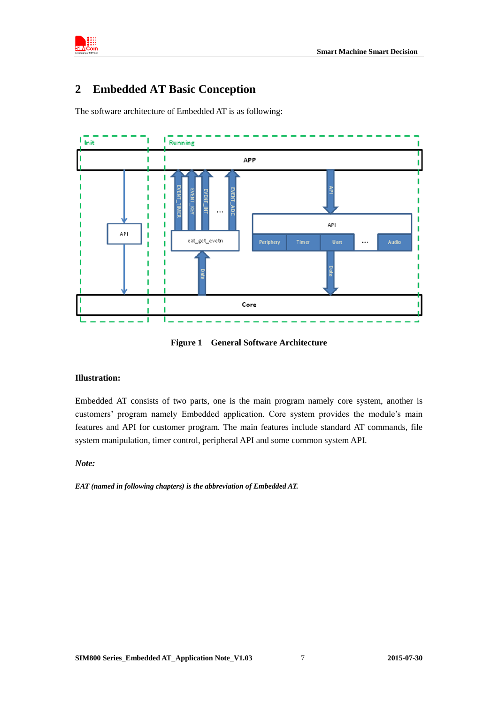

# <span id="page-6-0"></span>**2 Embedded AT Basic Conception**

The software architecture of Embedded AT is as following:



**Figure 1 General Software Architecture**

#### **Illustration:**

Embedded AT consists of two parts, one is the main program namely core system, another is customers' program namely Embedded application. Core system provides the module's main features and API for customer program. The main features include standard AT commands, file system manipulation, timer control, peripheral API and some common system API.

#### *Note:*

*EAT (named in following chapters) is the abbreviation of Embedded AT.*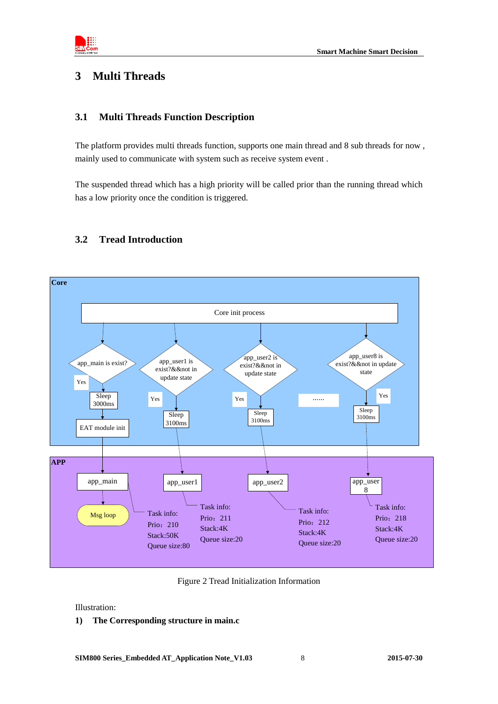

### <span id="page-7-0"></span>**3 Multi Threads**

### <span id="page-7-1"></span>**3.1 Multi Threads Function Description**

The platform provides multi threads function, supports one main thread and 8 sub threads for now , mainly used to communicate with system such as receive system event .

The suspended thread which has a high priority will be called prior than the running thread which has a low priority once the condition is triggered.



### <span id="page-7-2"></span>**3.2 Tread Introduction**

Figure 2 Tread Initialization Information

Illustration:

#### **1) The Corresponding structure in main.c**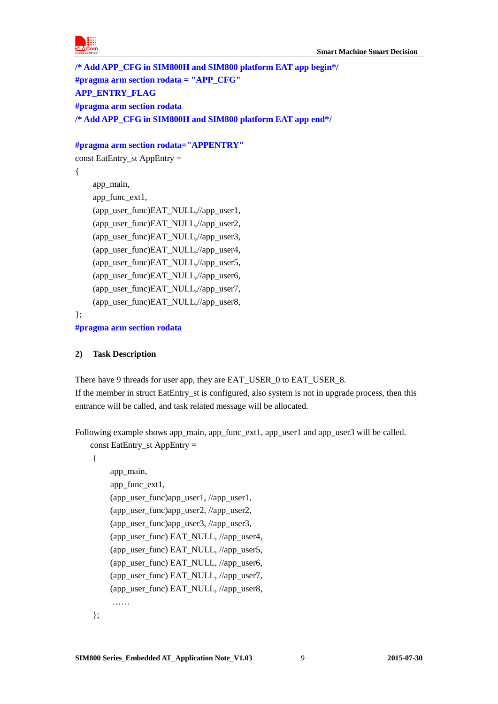

**/\* Add APP\_CFG in SIM800H and SIM800 platform EAT app begin\*/ #pragma arm section rodata = "APP\_CFG" APP\_ENTRY\_FLAG #pragma arm section rodata /\* Add APP\_CFG in SIM800H and SIM800 platform EAT app end\*/**

### **#pragma arm section rodata="APPENTRY"**

const EatEntry\_st AppEntry =

```
 app_main,
 app_func_ext1,
 (app_user_func)EAT_NULL,//app_user1,
 (app_user_func)EAT_NULL,//app_user2,
(app_user_func)EAT_NULL,//app_user3,
 (app_user_func)EAT_NULL,//app_user4,
(app_user_func)EAT_NULL,//app_user5,
(app_user_func)EAT_NULL,//app_user6,
 (app_user_func)EAT_NULL,//app_user7,
 (app_user_func)EAT_NULL,//app_user8,
```
};

{

**#pragma arm section rodata**

### **2) Task Description**

There have 9 threads for user app, they are EAT\_USER\_0 to EAT\_USER\_8. If the member in struct EatEntry\_st is configured, also system is not in upgrade process, then this entrance will be called, and task related message will be allocated.

Following example shows app\_main, app\_func\_ext1, app\_user1 and app\_user3 will be called. const EatEntry\_st AppEntry  $=$ 

{

```
app_main,
app_func_ext1,
(app_user_func)app_user1, //app_user1,
(app_user_func)app_user2, //app_user2,
(app_user_func)app_user3, //app_user3,
(app_user_func) EAT_NULL, \ellapp_user4,
(app_user_func) EAT_NULL, //app_user5,
(app_user_func) EAT_NULL, //app_user6,
(app_user_func) EAT_NULL, //app_user7,
(app_user_func) EAT_NULL, //app_user8,
 ……
```
};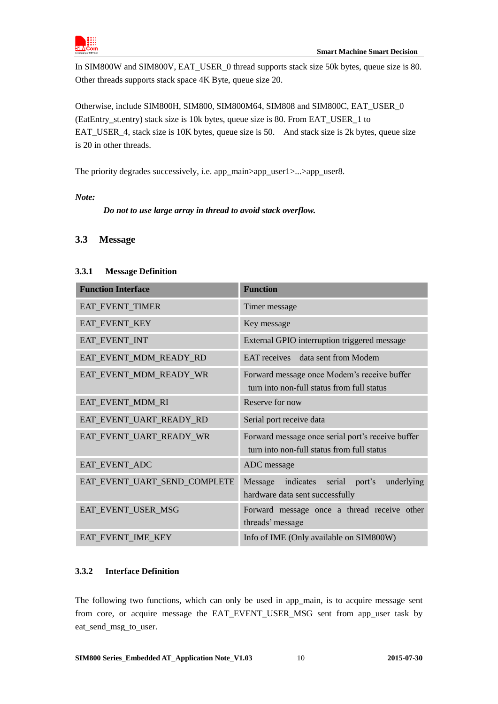

In SIM800W and SIM800V, EAT\_USER\_0 thread supports stack size 50k bytes, queue size is 80. Other threads supports stack space 4K Byte, queue size 20.

Otherwise, include SIM800H, SIM800, SIM800M64, SIM808 and SIM800C, EAT\_USER\_0 (EatEntry\_st.entry) stack size is 10k bytes, queue size is 80. From EAT\_USER\_1 to EAT\_USER\_4, stack size is 10K bytes, queue size is 50. And stack size is 2k bytes, queue size is 20 in other threads.

The priority degrades successively, i.e. app\_main>app\_user1>...>app\_user8.

### *Note:*

 *Do not to use large array in thread to avoid stack overflow.* 

### <span id="page-9-0"></span>**3.3 Message**

### <span id="page-9-1"></span>**3.3.1 Message Definition**

| <b>Function Interface</b>    | <b>Function</b>                                                                                 |
|------------------------------|-------------------------------------------------------------------------------------------------|
| EAT_EVENT_TIMER              | Timer message                                                                                   |
| EAT_EVENT_KEY                | Key message                                                                                     |
| EAT_EVENT_INT                | External GPIO interruption triggered message                                                    |
| EAT_EVENT_MDM_READY_RD       | EAT receives data sent from Modem                                                               |
| EAT_EVENT_MDM_READY_WR       | Forward message once Modem's receive buffer<br>turn into non-full status from full status       |
| EAT_EVENT_MDM_RI             | Reserve for now                                                                                 |
| EAT_EVENT_UART_READY_RD      | Serial port receive data                                                                        |
| EAT_EVENT_UART_READY_WR      | Forward message once serial port's receive buffer<br>turn into non-full status from full status |
| EAT_EVENT_ADC                | ADC message                                                                                     |
| EAT_EVENT_UART_SEND_COMPLETE | indicates serial port's<br>underlying<br>Message<br>hardware data sent successfully             |
| EAT_EVENT_USER_MSG           | Forward message once a thread receive other<br>threads' message                                 |
| EAT_EVENT_IME_KEY            | Info of IME (Only available on SIM800W)                                                         |

### <span id="page-9-2"></span>**3.3.2 Interface Definition**

The following two functions, which can only be used in app\_main, is to acquire message sent from core, or acquire message the EAT EVENT USER MSG sent from app user task by eat\_send\_msg\_to\_user.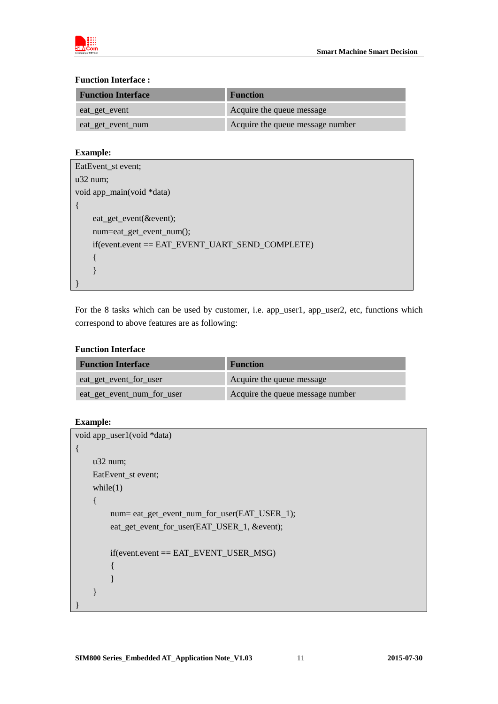

### **Function Interface :**

| <b>Function Interface</b> | <b>Function</b>                  |  |
|---------------------------|----------------------------------|--|
| eat_get_event             | Acquire the queue message        |  |
| eat_get_event_num         | Acquire the queue message number |  |

### **Example:**

| EatEvent_st event;                                            |
|---------------------------------------------------------------|
| $u32$ num;                                                    |
| void app_main(void *data)                                     |
| $\{$                                                          |
| eat_get_event(&event);                                        |
| num=eat_get_event_num();                                      |
| $if$ (event.event == $EAT$ $EVENT$ $UART$ $SEND$ $COMPLETE$ ) |
|                                                               |
|                                                               |
|                                                               |

For the 8 tasks which can be used by customer, i.e. app\_user1, app\_user2, etc, functions which correspond to above features are as following:

### **Function Interface**

| <b>Function Interface</b>  | <b>Function</b>                  |  |
|----------------------------|----------------------------------|--|
| eat_get_event_for_user     | Acquire the queue message        |  |
| eat_get_event_num_for_user | Acquire the queue message number |  |

### **Example:**

```
void app_user1(void *data)
{
     u32 num;
     EatEvent_st event;
    while(1) {
          num= eat_get_event_num_for_user(EAT_USER_1);
          eat_get_event_for_user(EAT_USER_1, &event);
          if(event.event == EAT_EVENT_USER_MSG)
          { 
          }
     }
}
```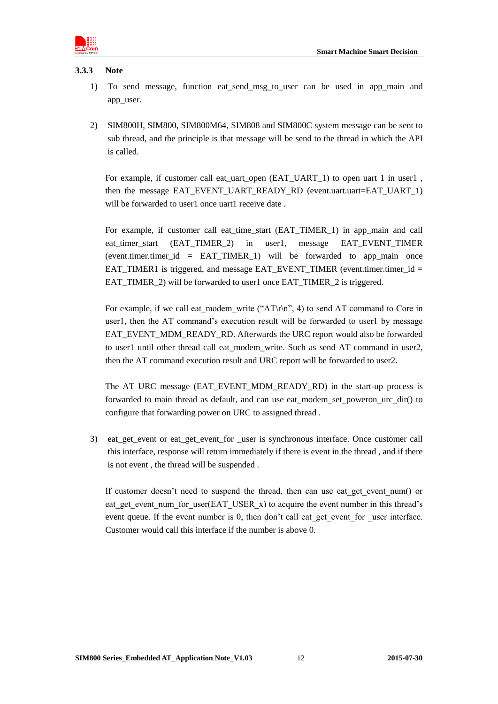

#### <span id="page-11-0"></span>**3.3.3 Note**

- 1) To send message, function eat\_send\_msg\_to\_user can be used in app\_main and app\_user.
- 2) SIM800H, SIM800, SIM800M64, SIM808 and SIM800C system message can be sent to sub thread, and the principle is that message will be send to the thread in which the API is called.

For example, if customer call eat\_uart\_open (EAT\_UART\_1) to open uart 1 in user1, then the message EAT EVENT UART READY RD (event.uart.uart=EAT\_UART\_1) will be forwarded to user1 once uart1 receive date.

For example, if customer call eat\_time\_start (EAT\_TIMER\_1) in app\_main and call eat timer\_start (EAT\_TIMER\_2) in user1, message EAT\_EVENT\_TIMER (event.timer.timer id = EAT TIMER 1) will be forwarded to app main once EAT\_TIMER1 is triggered, and message EAT\_EVENT\_TIMER (event.timer.timer\_id = EAT\_TIMER\_2) will be forwarded to user1 once EAT\_TIMER\_2 is triggered.

For example, if we call eat modem write ("AT\r\n", 4) to send AT command to Core in user1, then the AT command's execution result will be forwarded to user1 by message EAT\_EVENT\_MDM\_READY\_RD. Afterwards the URC report would also be forwarded to user1 until other thread call eat modem write. Such as send AT command in user2, then the AT command execution result and URC report will be forwarded to user2.

The AT URC message (EAT\_EVENT\_MDM\_READY\_RD) in the start-up process is forwarded to main thread as default, and can use eat\_modem\_set\_poweron\_urc\_dir() to configure that forwarding power on URC to assigned thread .

3) eat\_get\_event or eat\_get\_event\_for \_user is synchronous interface. Once customer call this interface, response will return immediately if there is event in the thread , and if there is not event , the thread will be suspended .

If customer doesn't need to suspend the thread, then can use eat get event num() or eat get event num for user(EAT\_USER\_x) to acquire the event number in this thread's event queue. If the event number is 0, then don't call eat get event for user interface. Customer would call this interface if the number is above 0.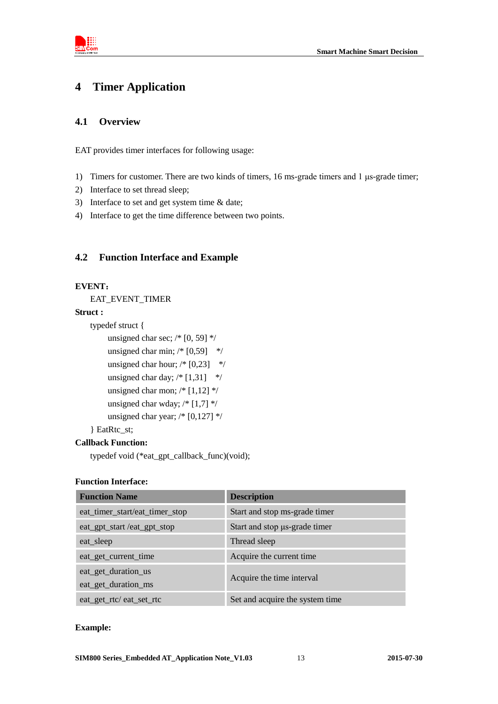

# <span id="page-12-0"></span>**4 Timer Application**

### <span id="page-12-1"></span>**4.1 Overview**

EAT provides timer interfaces for following usage:

- 1) Timers for customer. There are two kinds of timers, 16 ms-grade timers and 1 μs-grade timer;
- 2) Interface to set thread sleep;
- 3) Interface to set and get system time & date;
- 4) Interface to get the time difference between two points.

### <span id="page-12-2"></span>**4.2 Function Interface and Example**

#### **EVENT**:

EAT\_EVENT\_TIMER

#### **Struct :**

```
typedef struct {
     unsigned char sec; /* [0, 59] */
     unsigned char min; /* [0,59] */
     unsigned char hour; /* [0,23] */
     unsigned char day; /* [1,31] */
     unsigned char mon; /* [1,12] */unsigned char wday; /* [1,7] */
     unsigned char year; /* [0,127] */
} EatRtc_st;
```
#### **Callback Function:**

typedef void (\*eat\_gpt\_callback\_func)(void);

### **Function Interface:**

| <b>Function Name</b>           | <b>Description</b>              |
|--------------------------------|---------------------------------|
| eat_timer_start/eat_timer_stop | Start and stop ms-grade timer   |
| eat_gpt_start /eat_gpt_stop    | Start and stop µs-grade timer   |
| eat_sleep                      | Thread sleep                    |
| eat_get_current_time           | Acquire the current time        |
| eat_get_duration_us            |                                 |
| eat_get_duration_ms            | Acquire the time interval       |
| eat_get_rtc/eat_set_rtc        | Set and acquire the system time |

### **Example:**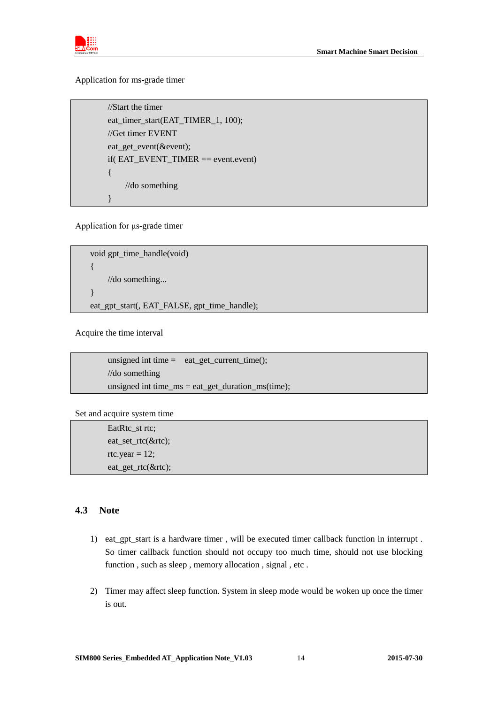

Application for ms-grade timer

 //Start the timer eat\_timer\_start(EAT\_TIMER\_1, 100); //Get timer EVENT eat\_get\_event(&event); if( EAT\_EVENT\_TIMER == event.event) { //do something }

Application for μs-grade timer

void gpt\_time\_handle(void) { //do something... }

eat\_gpt\_start(, EAT\_FALSE, gpt\_time\_handle);

Acquire the time interval

unsigned int time  $=$  eat\_get\_current\_time(); //do something unsigned int time\_ms = eat\_get\_duration\_ms(time);

Set and acquire system time

EatRtc\_st rtc; eat\_set\_rtc(&rtc); rtc.year  $= 12$ ; eat\_get\_rtc(&rtc);

### <span id="page-13-0"></span>**4.3 Note**

- 1) eat\_gpt\_start is a hardware timer , will be executed timer callback function in interrupt . So timer callback function should not occupy too much time, should not use blocking function , such as sleep , memory allocation , signal , etc .
- 2) Timer may affect sleep function. System in sleep mode would be woken up once the timer is out.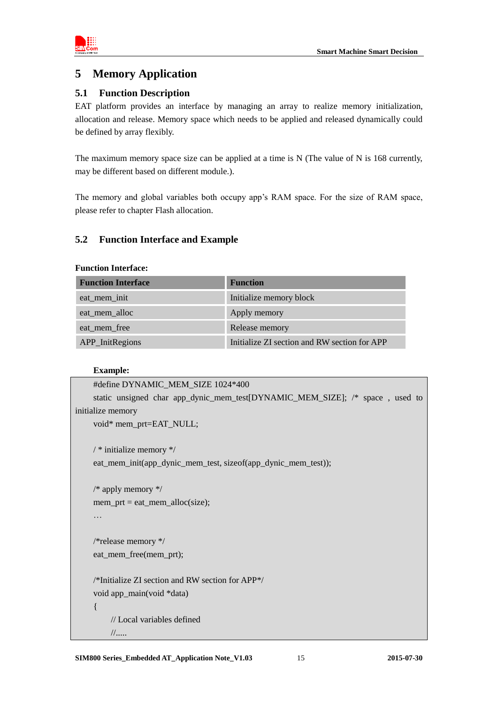

# <span id="page-14-0"></span>**5 Memory Application**

### <span id="page-14-1"></span>**5.1 Function Description**

EAT platform provides an interface by managing an array to realize memory initialization, allocation and release. Memory space which needs to be applied and released dynamically could be defined by array flexibly.

The maximum memory space size can be applied at a time is N (The value of N is 168 currently, may be different based on different module.).

The memory and global variables both occupy app's RAM space. For the size of RAM space, please refer to chapter Flash allocation.

### <span id="page-14-2"></span>**5.2 Function Interface and Example**

### **Function Interface:**

| <b>Function Interface</b> | <b>Function</b>                              |
|---------------------------|----------------------------------------------|
| eat_mem_init              | Initialize memory block                      |
| eat_mem_alloc             | Apply memory                                 |
| eat_mem_free              | Release memory                               |
| APP_InitRegions           | Initialize ZI section and RW section for APP |

### **Example:**

```
#define DYNAMIC_MEM_SIZE 1024*400
    static unsigned char app_dynic_mem_test[DYNAMIC_MEM_SIZE]; /* space , used to 
initialize memory
    void* mem_prt=EAT_NULL;
    / * initialize memory */eat mem init(app dynic mem test, sizeof(app dynic mem test));
    /* apply memory */
    mem\_prt = eat\_mem\_alloc(size);…
    /*release memory */
    eat_mem_free(mem_prt);
    /*Initialize ZI section and RW section for APP*/
    void app_main(void *data)
     {
          // Local variables defined
          //.....
```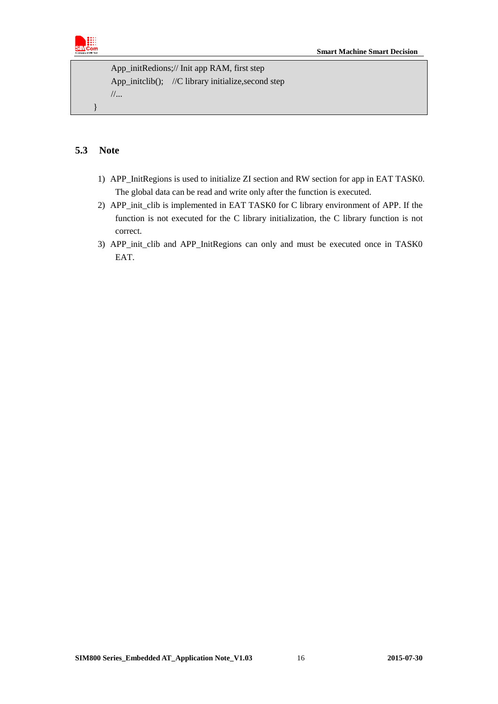

```
 App_initRedions;// Init app RAM, first step
App_initclib(); //C library initialize, second step
 //...
```
### <span id="page-15-0"></span>**5.3 Note**

}

- 1) APP\_InitRegions is used to initialize ZI section and RW section for app in EAT TASK0. The global data can be read and write only after the function is executed.
- 2) APP\_init\_clib is implemented in EAT TASK0 for C library environment of APP. If the function is not executed for the C library initialization, the C library function is not correct.
- 3) APP init clib and APP InitRegions can only and must be executed once in TASK0 EAT.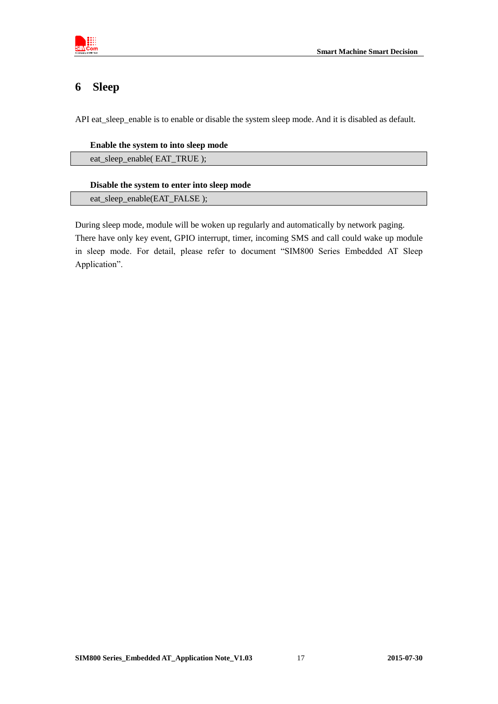

# <span id="page-16-0"></span>**6 Sleep**

API eat\_sleep\_enable is to enable or disable the system sleep mode. And it is disabled as default.

### **Enable the system to into sleep mode**

eat\_sleep\_enable( EAT\_TRUE );

### **Disable the system to enter into sleep mode**

eat sleep enable(EAT\_FALSE );

During sleep mode, module will be woken up regularly and automatically by network paging. There have only key event, GPIO interrupt, timer, incoming SMS and call could wake up module in sleep mode. For detail, please refer to document "SIM800 Series Embedded AT Sleep Application".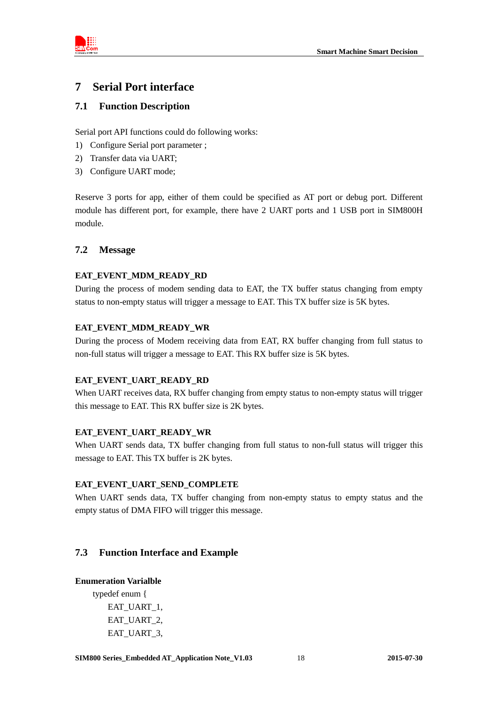

### <span id="page-17-0"></span>**7 Serial Port interface**

### <span id="page-17-1"></span>**7.1 Function Description**

Serial port API functions could do following works:

- 1) Configure Serial port parameter ;
- 2) Transfer data via UART;
- 3) Configure UART mode;

Reserve 3 ports for app, either of them could be specified as AT port or debug port. Different module has different port, for example, there have 2 UART ports and 1 USB port in SIM800H module.

### <span id="page-17-2"></span>**7.2 Message**

### **EAT\_EVENT\_MDM\_READY\_RD**

During the process of modem sending data to EAT, the TX buffer status changing from empty status to non-empty status will trigger a message to EAT. This TX buffer size is 5K bytes.

### **EAT\_EVENT\_MDM\_READY\_WR**

During the process of Modem receiving data from EAT, RX buffer changing from full status to non-full status will trigger a message to EAT. This RX buffer size is 5K bytes.

### EAT\_EVENT\_UART\_READY\_RD

When UART receives data, RX buffer changing from empty status to non-empty status will trigger this message to EAT. This RX buffer size is 2K bytes.

### **EAT\_EVENT\_UART\_READY\_WR**

When UART sends data, TX buffer changing from full status to non-full status will trigger this message to EAT. This TX buffer is 2K bytes.

### **EAT\_EVENT\_UART\_SEND\_COMPLETE**

When UART sends data, TX buffer changing from non-empty status to empty status and the empty status of DMA FIFO will trigger this message.

### <span id="page-17-3"></span>**7.3 Function Interface and Example**

### **Enumeration Varialble**

typedef enum { EAT\_UART\_1, EAT\_UART\_2, EAT\_UART\_3,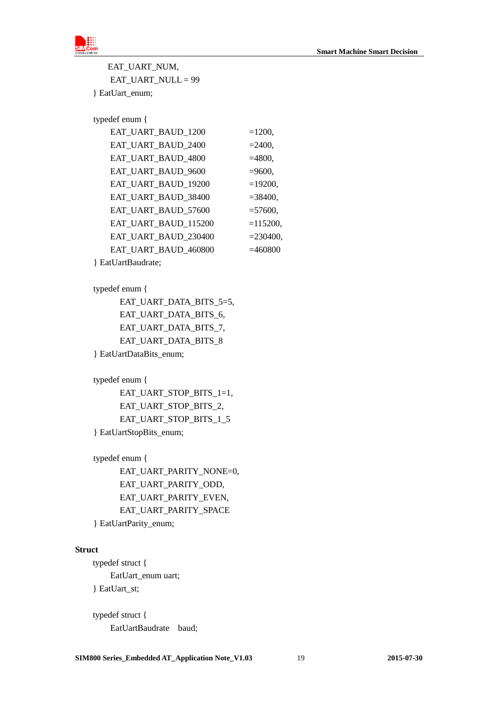

EAT\_UART\_NUM, EAT\_UART\_NULL = 99 } EatUart\_enum;

typedef enum {

| EAT_UART_BAUD_1200   | $=1200,$    |
|----------------------|-------------|
| EAT UART BAUD 2400   | $= 2400,$   |
| EAT_UART_BAUD_4800   | $=4800,$    |
| EAT UART BAUD 9600   | $=9600,$    |
| EAT_UART_BAUD_19200  | $=19200,$   |
| EAT_UART_BAUD_38400  | $= 38400,$  |
| EAT_UART_BAUD_57600  | $= 57600,$  |
| EAT_UART_BAUD_115200 | $=115200,$  |
| EAT_UART_BAUD_230400 | $= 230400,$ |
| EAT_UART_BAUD_460800 | $=460800$   |
|                      |             |

} EatUartBaudrate;

### typedef enum {

 EAT\_UART\_DATA\_BITS\_5=5, EAT\_UART\_DATA\_BITS\_6, EAT\_UART\_DATA\_BITS\_7, EAT\_UART\_DATA\_BITS\_8 } EatUartDataBits\_enum;

typedef enum {

 EAT\_UART\_STOP\_BITS\_1=1, EAT\_UART\_STOP\_BITS\_2, EAT\_UART\_STOP\_BITS\_1\_5 } EatUartStopBits\_enum;

typedef enum {

EAT\_UART\_PARITY\_NONE=0, EAT\_UART\_PARITY\_ODD, EAT\_UART\_PARITY\_EVEN, EAT\_UART\_PARITY\_SPACE

} EatUartParity\_enum;

### **Struct**

 typedef struct { EatUart\_enum uart; } EatUart\_st;

 typedef struct { EatUartBaudrate baud;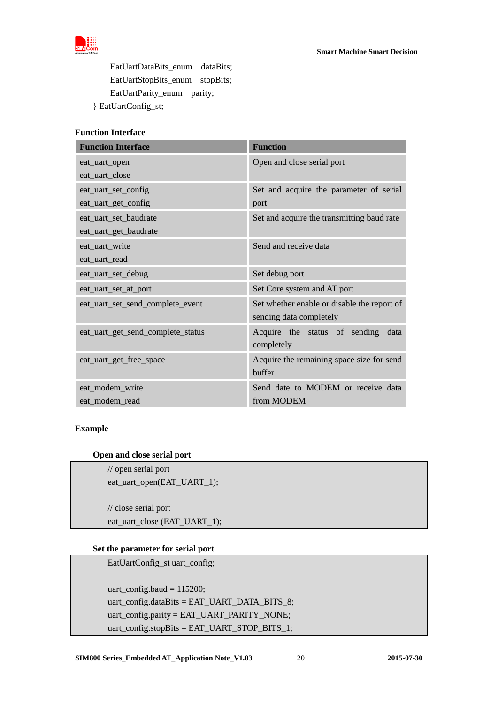

EatUartDataBits enum dataBits; EatUartStopBits\_enum stopBits; EatUartParity\_enum parity; } EatUartConfig\_st;

### **Function Interface**

| <b>Function Interface</b>         | <b>Function</b>                             |
|-----------------------------------|---------------------------------------------|
| eat_uart_open                     | Open and close serial port                  |
| eat_uart_close                    |                                             |
| eat_uart_set_config               | Set and acquire the parameter of serial     |
| eat_uart_get_config               | port                                        |
| eat_uart_set_baudrate             | Set and acquire the transmitting baud rate  |
| eat_uart_get_baudrate             |                                             |
| eat_uart_write                    | Send and receive data                       |
| eat_uart_read                     |                                             |
| eat_uart_set_debug                | Set debug port                              |
| eat_uart_set_at_port              | Set Core system and AT port                 |
| eat_uart_set_send_complete_event  | Set whether enable or disable the report of |
|                                   | sending data completely                     |
| eat_uart_get_send_complete_status | Acquire the status of sending<br>data       |
|                                   | completely                                  |
| eat_uart_get_free_space           | Acquire the remaining space size for send   |
|                                   | buffer                                      |
| eat_modem_write                   | Send date to MODEM or receive data          |
| eat_modem_read                    | from MODEM                                  |

#### **Example**

#### **Open and close serial port**

 // open serial port eat\_uart\_open(EAT\_UART\_1);

 // close serial port eat\_uart\_close (EAT\_UART\_1);

### **Set the parameter for serial port**

EatUartConfig\_st uart\_config;

 uart\_config.baud = 115200; uart\_config.dataBits = EAT\_UART\_DATA\_BITS\_8; uart\_config.parity = EAT\_UART\_PARITY\_NONE; uart\_config.stopBits = EAT\_UART\_STOP\_BITS\_1;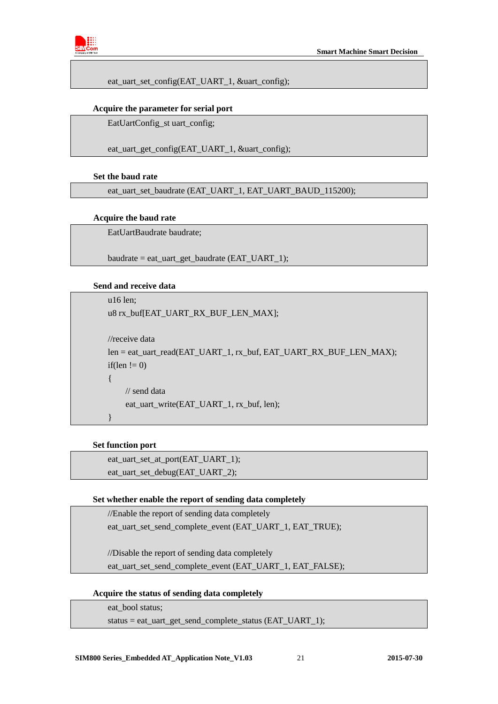

eat uart set config(EAT\_UART\_1, &uart\_config);

#### **Acquire the parameter for serial port**

EatUartConfig\_st uart\_config;

eat\_uart\_get\_config(EAT\_UART\_1, &uart\_config);

#### **Set the baud rate**

eat\_uart\_set\_baudrate (EAT\_UART\_1, EAT\_UART\_BAUD\_115200);

#### **Acquire the baud rate**

EatUartBaudrate baudrate;

baudrate = eat\_uart\_get\_baudrate (EAT\_UART\_1);

#### **Send and receive data**

```
 u16 len;
 u8 rx_buf[EAT_UART_RX_BUF_LEN_MAX];
 //receive data
 len = eat_uart_read(EAT_UART_1, rx_buf, EAT_UART_RX_BUF_LEN_MAX);
if(len != 0)
 {
     // send data
    eat_uart_write(EAT_UART_1, rx_buf, len);
 }
```
### **Set function port**

eat\_uart\_set\_at\_port(EAT\_UART\_1); eat\_uart\_set\_debug(EAT\_UART\_2);

### **Set whether enable the report of sending data completely**

//Enable the report of sending data completely

eat\_uart\_set\_send\_complete\_event (EAT\_UART\_1, EAT\_TRUE);

//Disable the report of sending data completely eat\_uart\_set\_send\_complete\_event (EAT\_UART\_1, EAT\_FALSE);

 **Acquire the status of sending data completely**

eat\_bool status;

status = eat\_uart\_get\_send\_complete\_status (EAT\_UART\_1);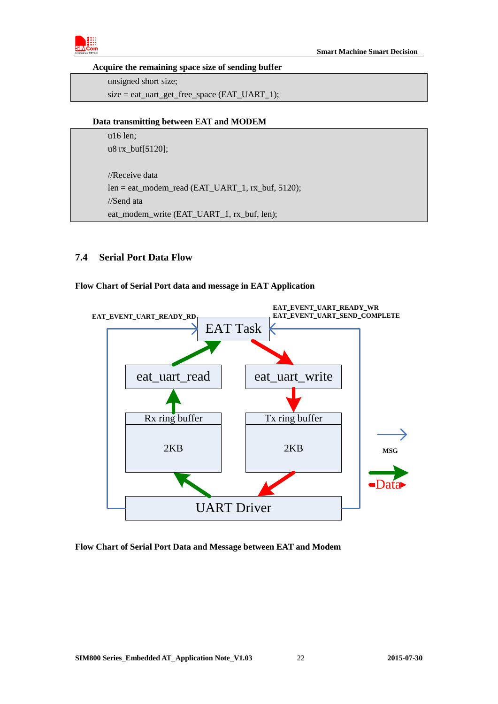

### **Acquire the remaining space size of sending buffer**

 unsigned short size; size = eat\_uart\_get\_free\_space (EAT\_UART\_1);

### **Data transmitting between EAT and MODEM**

 u16 len; u8 rx\_buf[5120];

 //Receive data len = eat\_modem\_read (EAT\_UART\_1, rx\_buf, 5120); //Send ata eat\_modem\_write (EAT\_UART\_1, rx\_buf, len);

### <span id="page-21-0"></span>**7.4 Serial Port Data Flow**

### **Flow Chart of Serial Port data and message in EAT Application**



### **Flow Chart of Serial Port Data and Message between EAT and Modem**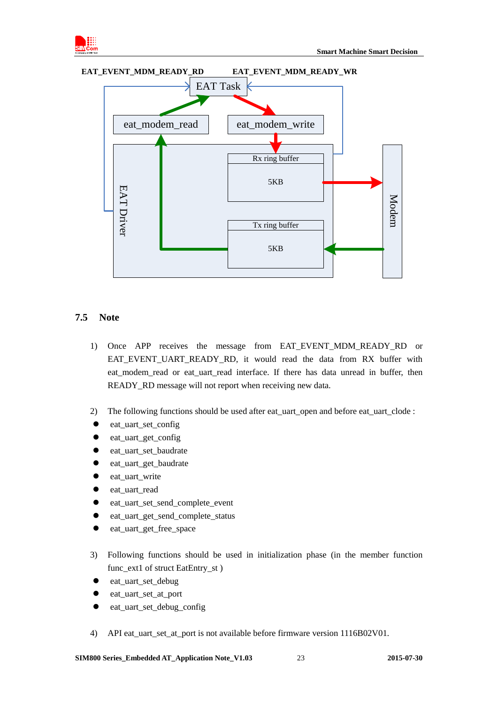





### <span id="page-22-0"></span>**7.5 Note**

- 1) Once APP receives the message from EAT\_EVENT\_MDM\_READY\_RD or EAT\_EVENT\_UART\_READY\_RD, it would read the data from RX buffer with eat modem read or eat uart read interface. If there has data unread in buffer, then READY\_RD message will not report when receiving new data.
- 2) The following functions should be used after eat\_uart\_open and before eat\_uart\_clode :
- eat\_uart\_set\_config
- eat uart get config
- eat uart set baudrate
- eat\_uart\_get\_baudrate
- eat\_uart\_write
- eat uart read
- eat uart set send complete event
- eat uart get send complete status
- eat\_uart\_get\_free\_space
- 3) Following functions should be used in initialization phase (in the member function func\_ext1 of struct EatEntry\_st )
- eat uart set debug
- eat\_uart\_set\_at\_port
- eat\_uart\_set\_debug\_config
- 4) API eat\_uart\_set\_at\_port is not available before firmware version 1116B02V01.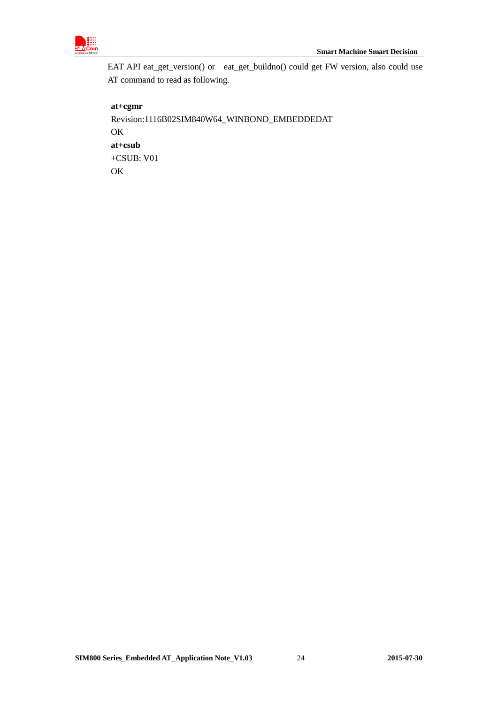

EAT API eat\_get\_version() or eat\_get\_buildno() could get FW version, also could use AT command to read as following.

**at+cgmr** Revision:1116B02SIM840W64\_WINBOND\_EMBEDDEDAT **OK at+csub** +CSUB: V01 OK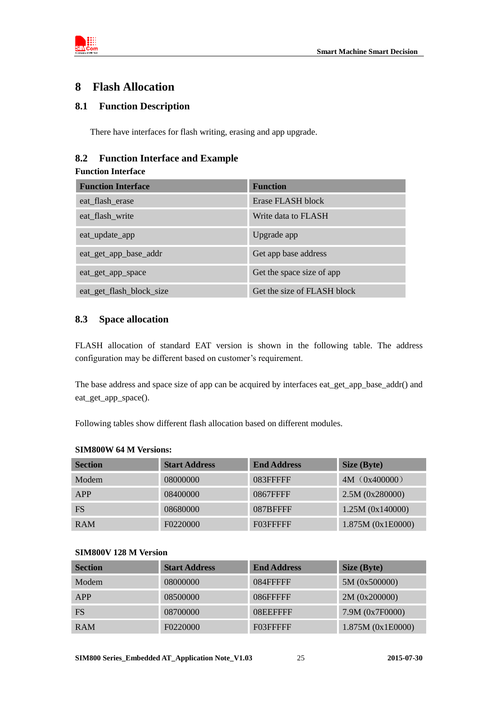

### <span id="page-24-0"></span>**8 Flash Allocation**

### <span id="page-24-1"></span>**8.1 Function Description**

There have interfaces for flash writing, erasing and app upgrade.

### <span id="page-24-2"></span>**8.2 Function Interface and Example**

### **Function Interface**

| <b>Function Interface</b> | <b>Function</b>             |
|---------------------------|-----------------------------|
| eat flash erase           | Erase FLASH block           |
| eat_flash_write           | Write data to FLASH         |
| eat_update_app            | Upgrade app                 |
| eat_get_app_base_addr     | Get app base address        |
| eat_get_app_space         | Get the space size of app   |
| eat_get_flash_block_size  | Get the size of FLASH block |

### <span id="page-24-3"></span>**8.3 Space allocation**

FLASH allocation of standard EAT version is shown in the following table. The address configuration may be different based on customer's requirement.

The base address and space size of app can be acquired by interfaces eat\_get\_app\_base\_addr() and eat\_get\_app\_space().

Following tables show different flash allocation based on different modules.

### **SIM800W 64 M Versions:**

| <b>Section</b> | <b>Start Address</b> | <b>End Address</b> | Size (Byte)       |
|----------------|----------------------|--------------------|-------------------|
| Modem          | 08000000             | 083FFFFFF          | 4M (0x400000)     |
| APP            | 08400000             | 0867FFFF           | 2.5M (0x280000)   |
| <b>FS</b>      | 08680000             | 087BFFFF           | 1.25M (0x140000)  |
| <b>RAM</b>     | F0220000             | F03FFFFF           | 1.875M (0x1E0000) |

### **SIM800V 128 M Version**

| <b>Section</b> | <b>Start Address</b> | <b>End Address</b> | Size (Byte)       |
|----------------|----------------------|--------------------|-------------------|
| Modem          | 08000000             | 084FFFFFF          | 5M (0x500000)     |
| APP            | 08500000             | 086FFFFF           | 2M (0x200000)     |
| <b>FS</b>      | 08700000             | 08EEFFFF           | 7.9M (0x7F0000)   |
| <b>RAM</b>     | F0220000             | F03FFFFF           | 1.875M (0x1E0000) |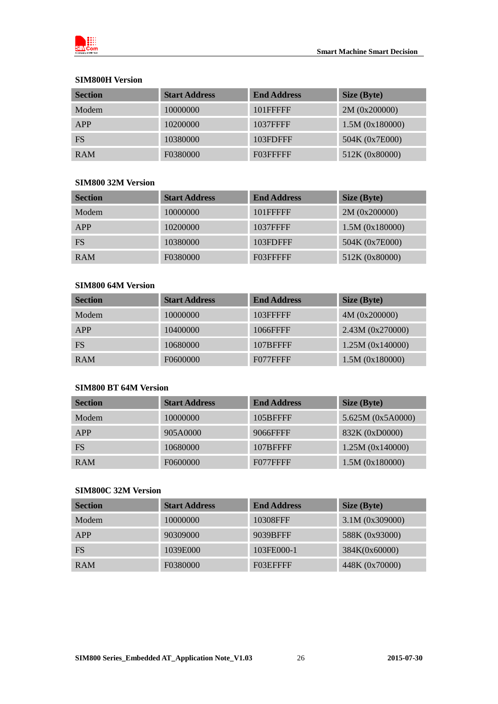

### **SIM800H Version**

| <b>Section</b> | <b>Start Address</b> | <b>End Address</b> | Size (Byte)     |
|----------------|----------------------|--------------------|-----------------|
| Modem          | 10000000             | 101FFFFF           | 2M (0x200000)   |
| APP            | 10200000             | 1037FFFF           | 1.5M (0x180000) |
| <b>FS</b>      | 10380000             | 103FDFFF           | 504K (0x7E000)  |
| <b>RAM</b>     | F0380000             | F03FFFFF           | 512K (0x80000)  |

### **SIM800 32M Version**

| <b>Section</b> | <b>Start Address</b> | <b>End Address</b> | Size (Byte)     |
|----------------|----------------------|--------------------|-----------------|
| Modem          | 10000000             | 101FFFFF           | 2M (0x200000)   |
| APP            | 10200000             | 1037FFFF           | 1.5M (0x180000) |
| <b>FS</b>      | 10380000             | 103FDFFF           | 504K (0x7E000)  |
| <b>RAM</b>     | F0380000             | F03FFFFF           | 512K (0x80000)  |

### **SIM800 64M Version**

| <b>Section</b> | <b>Start Address</b> | <b>End Address</b> | Size (Byte)      |
|----------------|----------------------|--------------------|------------------|
| Modem          | 10000000             | 103FFFFF           | 4M (0x200000)    |
| APP            | 10400000             | 1066FFFF           | 2.43M (0x270000) |
| FS.            | 10680000             | 107BFFFF           | 1.25M (0x140000) |
| <b>RAM</b>     | F0600000             | F077FFFF           | 1.5M (0x180000)  |

### **SIM800 BT 64M Version**

| <b>Section</b> | <b>Start Address</b> | <b>End Address</b> | Size (Byte)       |
|----------------|----------------------|--------------------|-------------------|
| Modem          | 10000000             | 105BFFFF           | 5.625M (0x5A0000) |
| APP            | 905A0000             | 9066FFFF           | 832K (0xD0000)    |
| <b>FS</b>      | 10680000             | 107BFFFF           | 1.25M (0x140000)  |
| <b>RAM</b>     | F0600000             | F077FFFF           | 1.5M (0x180000)   |

### **SIM800C 32M Version**

| <b>Section</b> | <b>Start Address</b> | <b>End Address</b> | Size (Byte)       |
|----------------|----------------------|--------------------|-------------------|
| Modem          | 10000000             | 10308FFF           | $3.1M$ (0x309000) |
| APP            | 90309000             | 9039BFFF           | 588K (0x93000)    |
| <b>FS</b>      | 1039E000             | 103FE000-1         | 384K(0x60000)     |
| <b>RAM</b>     | F0380000             | F03EFFFF           | 448K (0x70000)    |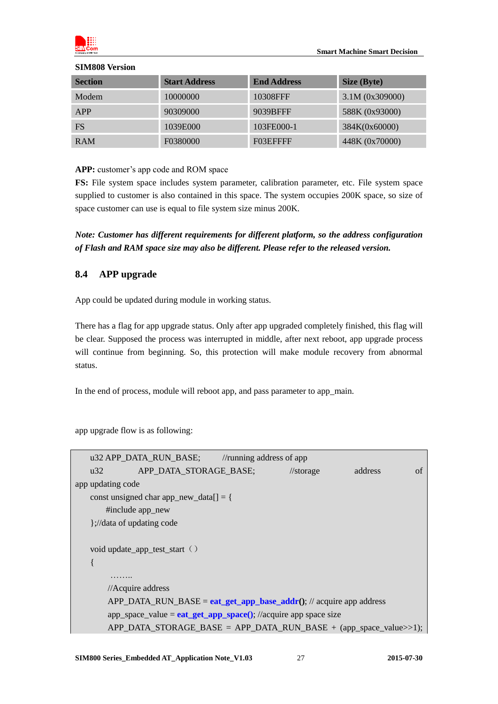

#### **SIM808 Version**

| <b>Section</b> | <b>Start Address</b> | <b>End Address</b> | Size (Byte)       |
|----------------|----------------------|--------------------|-------------------|
| Modem          | 10000000             | 10308FFF           | $3.1M$ (0x309000) |
| APP            | 90309000             | 9039BFFF           | 588K (0x93000)    |
| FS.            | 1039E000             | 103FE000-1         | 384K(0x60000)     |
| <b>RAM</b>     | F0380000             | F03EFFFF           | 448K (0x70000)    |

### **APP:** customer's app code and ROM space

**FS:** File system space includes system parameter, calibration parameter, etc. File system space supplied to customer is also contained in this space. The system occupies 200K space, so size of space customer can use is equal to file system size minus 200K.

### *Note: Customer has different requirements for different platform, so the address configuration of Flash and RAM space size may also be different. Please refer to the released version.*

### <span id="page-26-0"></span>**8.4 APP upgrade**

App could be updated during module in working status.

There has a flag for app upgrade status. Only after app upgraded completely finished, this flag will be clear. Supposed the process was interrupted in middle, after next reboot, app upgrade process will continue from beginning. So, this protection will make module recovery from abnormal status.

In the end of process, module will reboot app, and pass parameter to app\_main.

app upgrade flow is as following:

|                                                                                                                                                                                                                                                                                                                       | u32 APP_DATA_RUN_BASE; //running address of app                              |                      |         |    |
|-----------------------------------------------------------------------------------------------------------------------------------------------------------------------------------------------------------------------------------------------------------------------------------------------------------------------|------------------------------------------------------------------------------|----------------------|---------|----|
| u32                                                                                                                                                                                                                                                                                                                   | APP_DATA_STORAGE_BASE;                                                       | $\frac{1}{\sqrt{2}}$ | address | of |
| app updating code                                                                                                                                                                                                                                                                                                     |                                                                              |                      |         |    |
|                                                                                                                                                                                                                                                                                                                       | const unsigned char app_new_data[] = {                                       |                      |         |    |
|                                                                                                                                                                                                                                                                                                                       | #include app_new                                                             |                      |         |    |
| $\frac{1}{2}$ , $\frac{1}{2}$ $\frac{1}{2}$ $\frac{1}{2}$ $\frac{1}{2}$ $\frac{1}{2}$ $\frac{1}{2}$ $\frac{1}{2}$ $\frac{1}{2}$ $\frac{1}{2}$ $\frac{1}{2}$ $\frac{1}{2}$ $\frac{1}{2}$ $\frac{1}{2}$ $\frac{1}{2}$ $\frac{1}{2}$ $\frac{1}{2}$ $\frac{1}{2}$ $\frac{1}{2}$ $\frac{1}{2}$ $\frac{1}{2}$ $\frac{1}{2}$ |                                                                              |                      |         |    |
|                                                                                                                                                                                                                                                                                                                       |                                                                              |                      |         |    |
|                                                                                                                                                                                                                                                                                                                       | void update_app_test_start ()                                                |                      |         |    |
|                                                                                                                                                                                                                                                                                                                       |                                                                              |                      |         |    |
|                                                                                                                                                                                                                                                                                                                       |                                                                              |                      |         |    |
|                                                                                                                                                                                                                                                                                                                       | //Acquire address                                                            |                      |         |    |
|                                                                                                                                                                                                                                                                                                                       | $APP\_DATA\_RUN\_BASE = eat\_get\_app\_base\_addr();$ // acquire app address |                      |         |    |
|                                                                                                                                                                                                                                                                                                                       | $app\_space\_value = eat\_get\_app\_space();$ //acquire app space size       |                      |         |    |
|                                                                                                                                                                                                                                                                                                                       | APP DATA_STORAGE_BASE = APP_DATA_RUN_BASE + (app_space_value>>1);            |                      |         |    |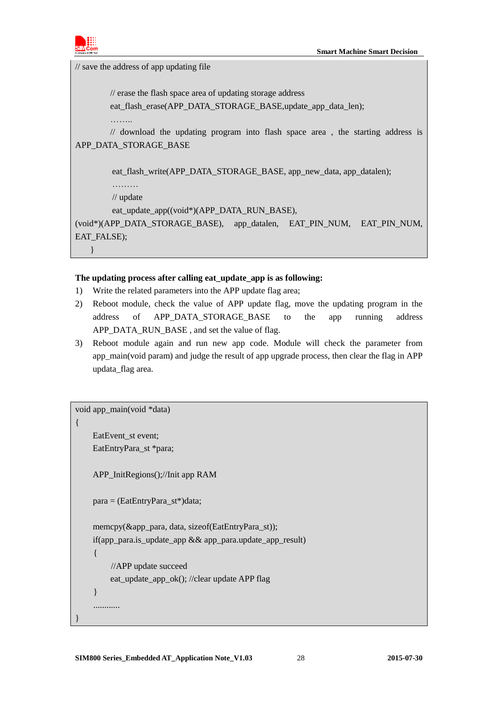

// save the address of app updating file

// erase the flash space area of updating storage address

eat flash\_erase(APP\_DATA\_STORAGE\_BASE,update\_app\_data\_len);

………

// download the updating program into flash space area , the starting address is APP\_DATA\_STORAGE\_BASE

eat flash\_write(APP\_DATA\_STORAGE\_BASE, app\_new\_data, app\_datalen);

……… // update

}

eat\_update\_app((void\*)(APP\_DATA\_RUN\_BASE),

(void\*)(APP\_DATA\_STORAGE\_BASE), app\_datalen, EAT\_PIN\_NUM, EAT\_PIN\_NUM, EAT\_FALSE);

### **The updating process after calling eat\_update\_app is as following:**

- 1) Write the related parameters into the APP update flag area;
- 2) Reboot module, check the value of APP update flag, move the updating program in the address of APP\_DATA\_STORAGE\_BASE to the app running address APP\_DATA\_RUN\_BASE , and set the value of flag.
- 3) Reboot module again and run new app code. Module will check the parameter from app\_main(void param) and judge the result of app upgrade process, then clear the flag in APP updata\_flag area.

void app\_main(void \*data)

{

}

EatEvent\_st event: EatEntryPara\_st \*para;

APP\_InitRegions();//Init app RAM

para = (EatEntryPara\_st\*)data;

 memcpy(&app\_para, data, sizeof(EatEntryPara\_st)); if(app\_para.is\_update\_app && app\_para.update\_app\_result) { //APP update succeed eat\_update\_app\_ok(); //clear update APP flag } ............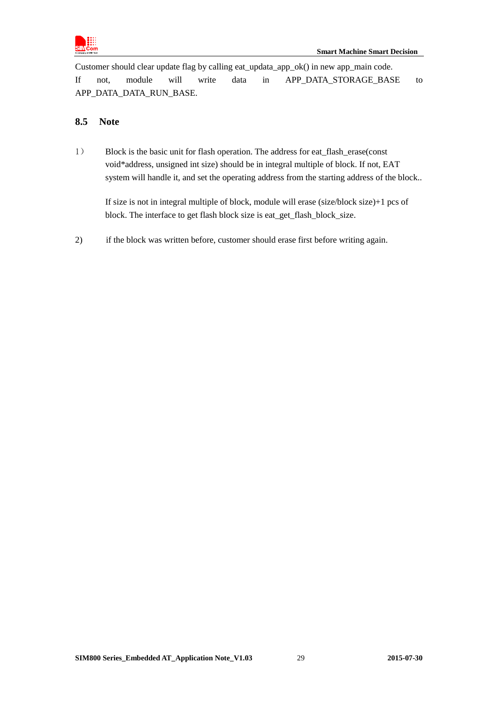

Customer should clear update flag by calling eat\_updata\_app\_ok() in new app\_main code. If not, module will write data in APP\_DATA\_STORAGE\_BASE to APP\_DATA\_DATA\_RUN\_BASE.

### <span id="page-28-0"></span>**8.5 Note**

1) Block is the basic unit for flash operation. The address for eat flash erase(const void\*address, unsigned int size) should be in integral multiple of block. If not, EAT system will handle it, and set the operating address from the starting address of the block..

If size is not in integral multiple of block, module will erase (size/block size)+1 pcs of block. The interface to get flash block size is eat\_get\_flash\_block\_size.

2) if the block was written before, customer should erase first before writing again.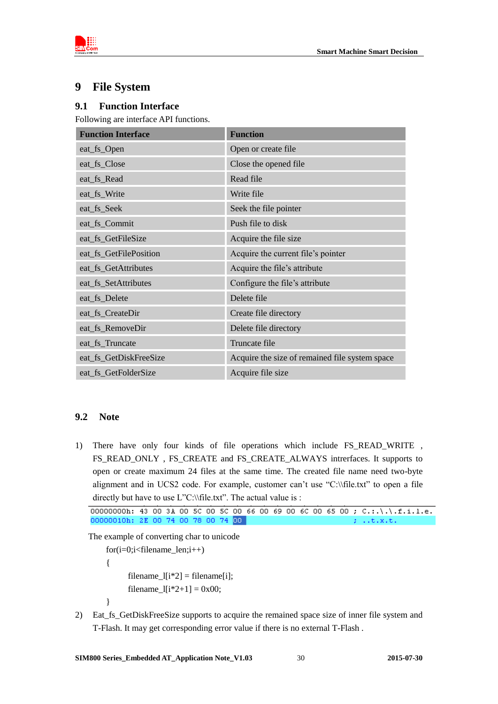



# <span id="page-29-0"></span>**9 File System**

### <span id="page-29-1"></span>**9.1 Function Interface**

Following are interface API functions.

| <b>Function Interface</b> | <b>Function</b>                                |
|---------------------------|------------------------------------------------|
| eat_fs_Open               | Open or create file                            |
| eat_fs_Close              | Close the opened file                          |
| eat_fs_Read               | Read file                                      |
| eat_fs_Write              | Write file                                     |
| eat_fs_Seek               | Seek the file pointer                          |
| eat_fs_Commit             | Push file to disk                              |
| eat_fs_GetFileSize        | Acquire the file size                          |
| eat_fs_GetFilePosition    | Acquire the current file's pointer             |
| eat_fs_GetAttributes      | Acquire the file's attribute                   |
| eat_fs_SetAttributes      | Configure the file's attribute                 |
| eat_fs_Delete             | Delete file                                    |
| eat_fs_CreateDir          | Create file directory                          |
| eat_fs_RemoveDir          | Delete file directory                          |
| eat_fs_Truncate           | Truncate file                                  |
| eat_fs_GetDiskFreeSize    | Acquire the size of remained file system space |
| eat_fs_GetFolderSize      | Acquire file size                              |

### <span id="page-29-2"></span>**9.2 Note**

1) There have only four kinds of file operations which include FS\_READ\_WRITE , FS\_READ\_ONLY , FS\_CREATE and FS\_CREATE\_ALWAYS intrerfaces. It supports to open or create maximum 24 files at the same time. The created file name need two-byte alignment and in UCS2 code. For example, customer can't use "C:\\file.txt" to open a file directly but have to use L"C:\\file.txt". The actual value is :

The example of converting char to unicode

 for(i=0;i<filename\_len;i++) {  $filename_l[i*2] = filename[i];$ filename\_ $[i*2+1] = 0x00;$ }

2) Eat\_fs\_GetDiskFreeSize supports to acquire the remained space size of inner file system and T-Flash. It may get corresponding error value if there is no external T-Flash .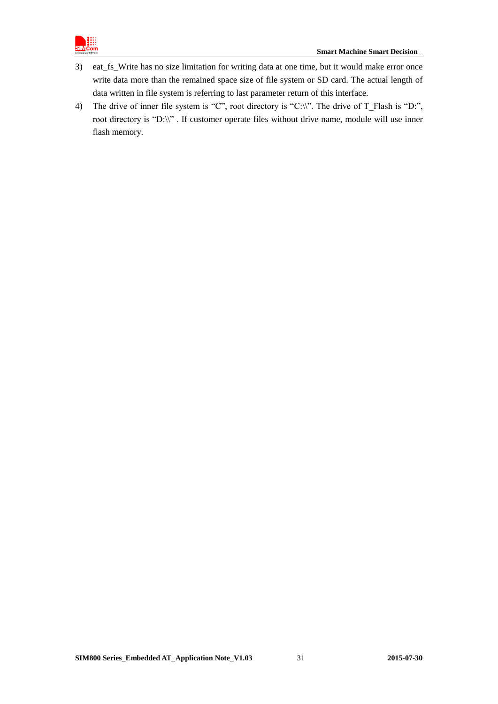

- 3) eat\_fs\_Write has no size limitation for writing data at one time, but it would make error once write data more than the remained space size of file system or SD card. The actual length of data written in file system is referring to last parameter return of this interface.
- 4) The drive of inner file system is "C", root directory is "C:\\". The drive of T\_Flash is "D:", root directory is "D:\\". If customer operate files without drive name, module will use inner flash memory.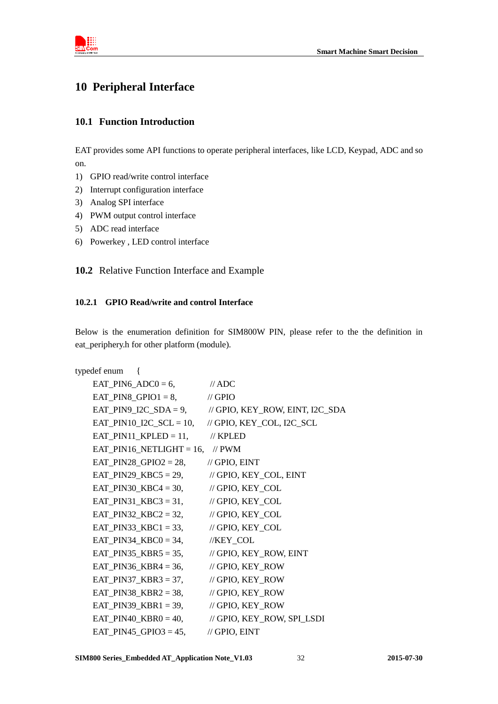

# <span id="page-31-0"></span>**10 Peripheral Interface**

### <span id="page-31-1"></span>**10.1 Function Introduction**

EAT provides some API functions to operate peripheral interfaces, like LCD, Keypad, ADC and so on.

- 1) GPIO read/write control interface
- 2) Interrupt configuration interface
- 3) Analog SPI interface
- 4) PWM output control interface
- 5) ADC read interface
- <span id="page-31-2"></span>6) Powerkey , LED control interface

**10.2** Relative Function Interface and Example

### <span id="page-31-3"></span>**10.2.1 GPIO Read/write and control Interface**

Below is the enumeration definition for SIM800W PIN, please refer to the the definition in eat\_periphery.h for other platform (module).

| typedef enum {                                       |                                                                |
|------------------------------------------------------|----------------------------------------------------------------|
| $EAT_PIN6_ADC0 = 6,$ // ADC                          |                                                                |
| EAT_PIN8_GPIO1 = 8, $\qquad$ // GPIO                 |                                                                |
|                                                      | EAT_PIN9_I2C_SDA = 9, $\qquad$ // GPIO, KEY_ROW, EINT, I2C_SDA |
|                                                      | EAT_PIN10_I2C_SCL = 10, $\#$ GPIO, KEY_COL, I2C_SCL            |
| EAT_PIN11_KPLED = 11, $\mathcal{U}$ KPLED            |                                                                |
| EAT_PIN16_NETLIGHT = 16, $\mathcal{W}$ PWM           |                                                                |
| EAT_PIN28_GPIO2 = 28, // GPIO, EINT                  |                                                                |
| EAT_PIN29_KBC5 = 29, $\qquad$ // GPIO, KEY_COL, EINT |                                                                |
| EAT_PIN30_KBC4 = 30, $\#$ GPIO, KEY_COL              |                                                                |
| EAT_PIN31_KBC3 = 31, $\qquad$ // GPIO, KEY_COL       |                                                                |
| EAT_PIN32_KBC2 = 32, $\#$ GPIO, KEY_COL              |                                                                |
| EAT_PIN33_KBC1 = 33, $\qquad$ // GPIO, KEY_COL       |                                                                |
| EAT_PIN34_KBC0 = 34, $//KEY\_COL$                    |                                                                |
| EAT_PIN35_KBR5 = 35, $\qquad$ // GPIO, KEY_ROW, EINT |                                                                |
| EAT_PIN36_KBR4 = 36, $\angle$ // GPIO, KEY_ROW       |                                                                |
| EAT_PIN37_KBR3 = 37, $\angle$ // GPIO, KEY_ROW       |                                                                |
| EAT_PIN38_KBR2 = 38, // GPIO, KEY_ROW                |                                                                |
| EAT_PIN39_KBR1 = 39, $\qquad$ // GPIO, KEY_ROW       |                                                                |
|                                                      | EAT_PIN40_KBR0 = 40, $\angle$ // GPIO, KEY_ROW, SPI_LSDI       |
| EAT_PIN45_GPIO3 = 45, // GPIO, EINT                  |                                                                |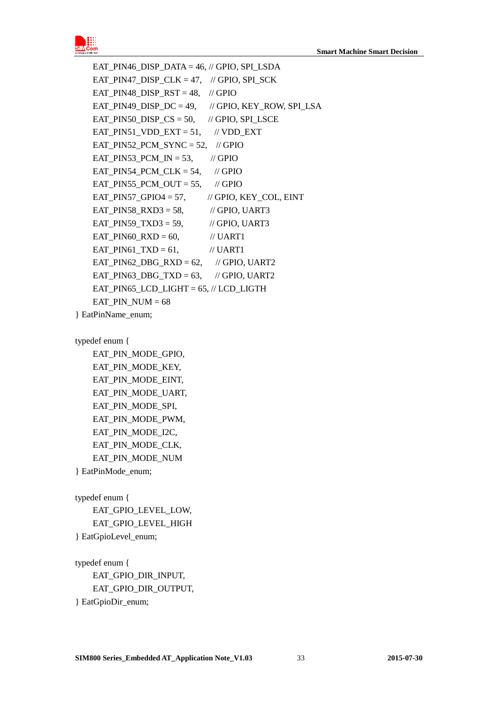

EAT PIN46 DISP\_DATA =  $46$ , // GPIO, SPI\_LSDA EAT PIN47 DISP CLK = 47, // GPIO, SPI\_SCK EAT\_PIN48\_DISP\_RST =  $48$ , // GPIO EAT PIN49 DISP  $DC = 49$ , // GPIO, KEY ROW, SPI LSA EAT\_PIN50\_DISP\_CS = 50,  $\#$  GPIO, SPI\_LSCE EAT\_PIN51\_VDD\_EXT = 51,  $\quad$  // VDD\_EXT EAT PIN52 PCM  $SYNC = 52$ , // GPIO EAT\_PIN53\_PCM\_IN = 53,  $\frac{\text{N}}{\text{GPIO}}$ EAT PIN54 PCM CLK = 54,  $\#$  GPIO EAT\_PIN55\_PCM\_OUT = 55,  $\frac{\pi}{6}$  // GPIO EAT PIN57 GPIO4 = 57,  $\frac{1}{2}$  GPIO, KEY COL, EINT EAT\_PIN58\_RXD3 = 58,  $\qquad$  // GPIO, UART3 EAT\_PIN59\_TXD3 = 59,  $\qquad$  // GPIO, UART3 EAT PIN60  $RXD = 60$ , // UART1 EAT\_PIN61\_TXD =  $61$ ,  $\qquad$  // UART1 EAT PIN62 DBG  $RXD = 62$ , // GPIO, UART2 EAT PIN63 DBG TXD = 63, // GPIO, UART2 EAT PIN65 LCD LIGHT =  $65$ ,  $//$  LCD LIGTH  $EAT_PIN_NUM = 68$ } EatPinName\_enum;

typedef enum {

EAT PIN MODE GPIO, EAT\_PIN\_MODE\_KEY, EAT\_PIN\_MODE\_EINT, EAT\_PIN\_MODE\_UART, EAT\_PIN\_MODE\_SPI, EAT\_PIN\_MODE\_PWM, EAT\_PIN\_MODE\_I2C, EAT\_PIN\_MODE\_CLK, EAT\_PIN\_MODE\_NUM } EatPinMode\_enum;

typedef enum { EAT GPIO LEVEL LOW, EAT\_GPIO\_LEVEL\_HIGH } EatGpioLevel\_enum;

typedef enum { EAT\_GPIO\_DIR\_INPUT, EAT\_GPIO\_DIR\_OUTPUT, } EatGpioDir\_enum;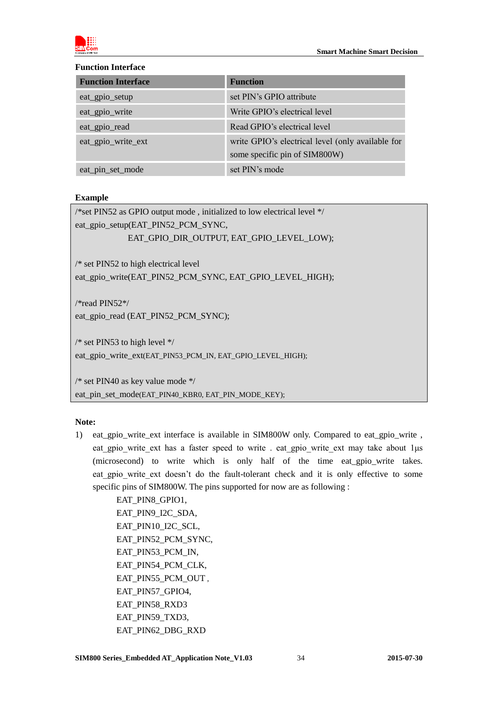

### **Function Interface**

| <b>Function Interface</b> | <b>Function</b>                                                                    |
|---------------------------|------------------------------------------------------------------------------------|
| eat_gpio_setup            | set PIN's GPIO attribute                                                           |
| eat_gpio_write            | Write GPIO's electrical level                                                      |
| eat_gpio_read             | Read GPIO's electrical level                                                       |
| eat_gpio_write_ext        | write GPIO's electrical level (only available for<br>some specific pin of SIM800W) |
| eat_pin_set_mode          | set PIN's mode                                                                     |

### **Example**

/\*set PIN52 as GPIO output mode , initialized to low electrical level \*/ eat\_gpio\_setup(EAT\_PIN52\_PCM\_SYNC, EAT\_GPIO\_DIR\_OUTPUT, EAT\_GPIO\_LEVEL\_LOW); /\* set PIN52 to high electrical level eat\_gpio\_write(EAT\_PIN52\_PCM\_SYNC, EAT\_GPIO\_LEVEL\_HIGH); /\*read PIN52\*/ eat\_gpio\_read (EAT\_PIN52\_PCM\_SYNC); /\* set PIN53 to high level \*/ eat\_gpio\_write\_ext(EAT\_PIN53\_PCM\_IN, EAT\_GPIO\_LEVEL\_HIGH);

/\* set PIN40 as key value mode \*/ eat\_pin\_set\_mode(EAT\_PIN40\_KBR0, EAT\_PIN\_MODE\_KEY);

### **Note:**

1) eat gpio write ext interface is available in SIM800W only. Compared to eat gpio write , eat gpio write ext has a faster speed to write . eat gpio write ext may take about 1μs (microsecond) to write which is only half of the time eat\_gpio\_write takes. eat gpio write ext doesn't do the fault-tolerant check and it is only effective to some specific pins of SIM800W. The pins supported for now are as following :

> EAT\_PIN8\_GPIO1, EAT\_PIN9\_I2C\_SDA, EAT\_PIN10\_I2C\_SCL, EAT\_PIN52\_PCM\_SYNC, EAT\_PIN53\_PCM\_IN, EAT\_PIN54\_PCM\_CLK. EAT\_PIN55\_PCM\_OUT , EAT\_PIN57\_GPIO4, EAT\_PIN58\_RXD3 EAT\_PIN59\_TXD3, EAT\_PIN62\_DBG\_RXD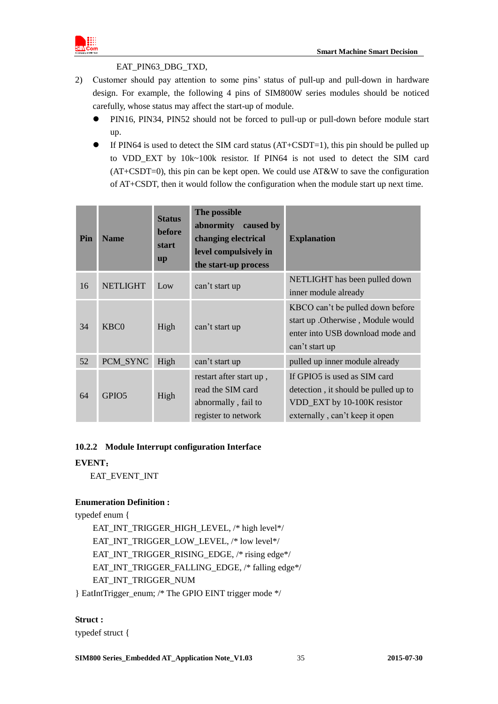

### EAT\_PIN63\_DBG\_TXD,

- 2) Customer should pay attention to some pins' status of pull-up and pull-down in hardware design. For example, the following 4 pins of SIM800W series modules should be noticed carefully, whose status may affect the start-up of module.
	- PIN16, PIN34, PIN52 should not be forced to pull-up or pull-down before module start up.
	- $\bullet$  If PIN64 is used to detect the SIM card status (AT+CSDT=1), this pin should be pulled up to VDD\_EXT by 10k~100k resistor. If PIN64 is not used to detect the SIM card  $(AT+CSDT=0)$ , this pin can be kept open. We could use  $AT&W$  to save the configuration of AT+CSDT, then it would follow the configuration when the module start up next time.

| Pin | <b>Name</b>       | <b>Status</b><br><b>before</b><br>start<br><b>up</b> | The possible<br>abnormity caused by<br>changing electrical<br>level compulsively in<br>the start-up process | <b>Explanation</b>                                                                                                                    |
|-----|-------------------|------------------------------------------------------|-------------------------------------------------------------------------------------------------------------|---------------------------------------------------------------------------------------------------------------------------------------|
| 16  | <b>NETLIGHT</b>   | Low                                                  | can't start up                                                                                              | NETLIGHT has been pulled down<br>inner module already                                                                                 |
| 34  | KBC <sub>0</sub>  | High                                                 | can't start up                                                                                              | KBCO can't be pulled down before<br>start up . Otherwise, Module would<br>enter into USB download mode and<br>can't start up          |
| 52  | PCM_SYNC          | High                                                 | can't start up                                                                                              | pulled up inner module already                                                                                                        |
| 64  | GPIO <sub>5</sub> | High                                                 | restart after start up,<br>read the SIM card<br>abnormally, fail to<br>register to network                  | If GPIO5 is used as SIM card<br>detection, it should be pulled up to<br>VDD_EXT by 10-100K resistor<br>externally, can't keep it open |

### <span id="page-34-0"></span>**10.2.2 Module Interrupt configuration Interface**

### **EVENT**:

EAT\_EVENT\_INT

### **Enumeration Definition :**

typedef enum {

EAT\_INT\_TRIGGER\_HIGH\_LEVEL, /\* high level\*/ EAT\_INT\_TRIGGER\_LOW\_LEVEL, /\* low level\*/ EAT\_INT\_TRIGGER\_RISING\_EDGE, /\* rising edge\*/ EAT\_INT\_TRIGGER\_FALLING\_EDGE, /\* falling edge\*/ EAT\_INT\_TRIGGER\_NUM } EatIntTrigger\_enum; /\* The GPIO EINT trigger mode \*/

### **Struct :**

typedef struct {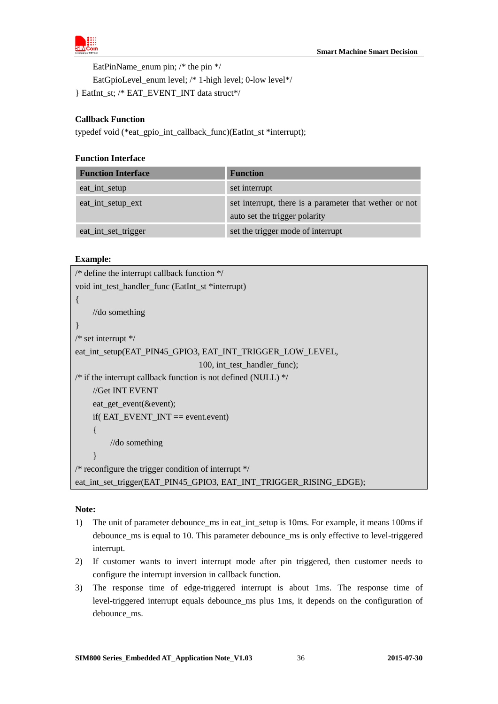

EatPinName enum pin;  $/*$  the pin  $*/$ 

EatGpioLevel\_enum level; /\* 1-high level; 0-low level\*/

} EatInt\_st; /\* EAT\_EVENT\_INT data struct\*/

### **Callback Function**

typedef void (\*eat\_gpio\_int\_callback\_func)(EatInt\_st \*interrupt);

### **Function Interface**

| <b>Function Interface</b> | <b>Function</b>                                                                         |
|---------------------------|-----------------------------------------------------------------------------------------|
| eat_int_setup             | set interrupt                                                                           |
| eat_int_setup_ext         | set interrupt, there is a parameter that wether or not<br>auto set the trigger polarity |
| eat_int_set_trigger       | set the trigger mode of interrupt                                                       |

### **Example:**

| /* define the interrupt callback function $\frac{*}{ }$            |  |  |  |
|--------------------------------------------------------------------|--|--|--|
| void int_test_handler_func (EatInt_st *interrupt)                  |  |  |  |
|                                                                    |  |  |  |
| $\frac{1}{\sqrt{d}}$ something                                     |  |  |  |
|                                                                    |  |  |  |
| $/*$ set interrupt $*/$                                            |  |  |  |
| eat_int_setup(EAT_PIN45_GPIO3, EAT_INT_TRIGGER_LOW_LEVEL,          |  |  |  |
| 100, int_test_handler_func);                                       |  |  |  |
| /* if the interrupt callback function is not defined (NULL) $*/$   |  |  |  |
| //Get INT EVENT                                                    |  |  |  |
| eat_get_event(&event);                                             |  |  |  |
| if( $EAT$ _EVENT_INT == event.event)                               |  |  |  |
|                                                                    |  |  |  |
| $//$ do something                                                  |  |  |  |
|                                                                    |  |  |  |
| /* reconfigure the trigger condition of interrupt $\frac{k}{4}$    |  |  |  |
| eat_int_set_trigger(EAT_PIN45_GPIO3, EAT_INT_TRIGGER_RISING_EDGE); |  |  |  |
|                                                                    |  |  |  |

### **Note:**

- 1) The unit of parameter debounce\_ms in eat\_int\_setup is 10ms. For example, it means 100ms if debounce\_ms is equal to 10. This parameter debounce\_ms is only effective to level-triggered interrupt.
- 2) If customer wants to invert interrupt mode after pin triggered, then customer needs to configure the interrupt inversion in callback function.
- 3) The response time of edge-triggered interrupt is about 1ms. The response time of level-triggered interrupt equals debounce\_ms plus 1ms, it depends on the configuration of debounce\_ms.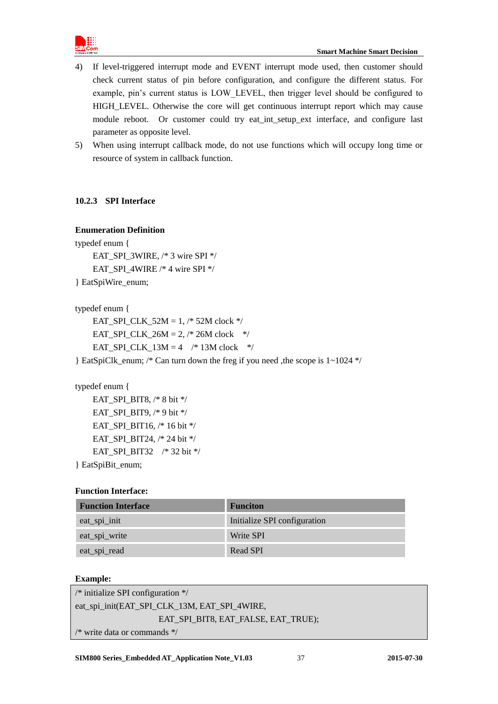

- 4) If level-triggered interrupt mode and EVENT interrupt mode used, then customer should check current status of pin before configuration, and configure the different status. For example, pin's current status is LOW\_LEVEL, then trigger level should be configured to HIGH\_LEVEL. Otherwise the core will get continuous interrupt report which may cause module reboot. Or customer could try eat\_int\_setup\_ext interface, and configure last parameter as opposite level.
- 5) When using interrupt callback mode, do not use functions which will occupy long time or resource of system in callback function.

### <span id="page-36-0"></span>**10.2.3 SPI Interface**

### **Enumeration Definition**

typedef enum { EAT\_SPI\_3WIRE,  $/* 3$  wire SPI  $*/$  EAT\_SPI\_4WIRE /\* 4 wire SPI \*/ } EatSpiWire\_enum;

typedef enum {

EAT SPI CLK  $52M = 1,$  /\* 52M clock \*/ EAT SPI CLK  $26M = 2$ , /\* 26M clock \*/ EAT\_SPI\_CLK\_13M =  $4$  /\* 13M clock \*/

} EatSpiClk\_enum; /\* Can turn down the freg if you need ,the scope is 1~1024 \*/

### typedef enum {

 EAT\_SPI\_BIT8, /\* 8 bit \*/ EAT\_SPI\_BIT9, /\* 9 bit \*/ EAT SPI BIT16,  $/* 16$  bit  $*/$ EAT\_SPI\_BIT24, /\* 24 bit \*/ EAT\_SPI\_BIT32 /\* 32 bit \*/ } EatSpiBit\_enum;

### **Function Interface:**

| <b>Function Interface</b> | <b>Funciton</b>              |
|---------------------------|------------------------------|
| eat_spi_init              | Initialize SPI configuration |
| eat_spi_write             | Write SPI                    |
| eat_spi_read              | <b>Read SPI</b>              |

### **Example:**

```
/* initialize SPI configuration */
eat_spi_init(EAT_SPI_CLK_13M, EAT_SPI_4WIRE, 
                    EAT_SPI_BIT8, EAT_FALSE, EAT_TRUE);
/* write data or commands */
```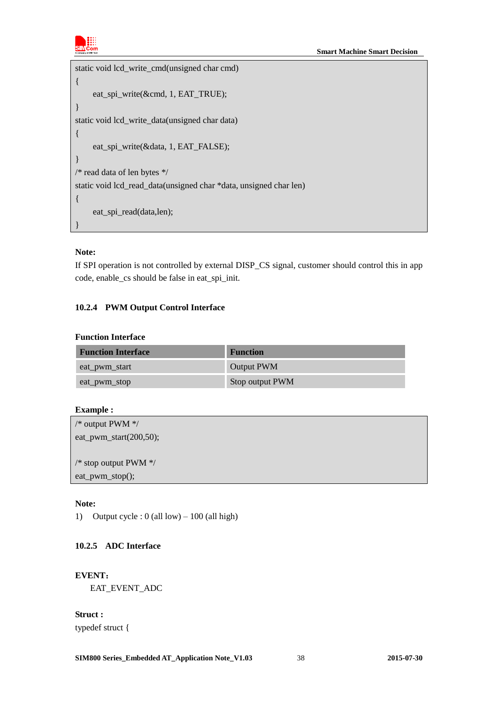

```
static void lcd_write_cmd(unsigned char cmd)
{
     eat_spi_write(&cmd, 1, EAT_TRUE);
}
static void lcd_write_data(unsigned char data)
{
      eat_spi_write(&data, 1, EAT_FALSE);
}
/* read data of len bytes */
static void lcd_read_data(unsigned char *data, unsigned char len)
{
      eat_spi_read(data,len);
}
```
### **Note:**

If SPI operation is not controlled by external DISP\_CS signal, customer should control this in app code, enable\_cs should be false in eat\_spi\_init.

### <span id="page-37-0"></span>**10.2.4 PWM Output Control Interface**

### **Function Interface**

| <b>Function Interface</b> | <b>Function</b>   |
|---------------------------|-------------------|
| eat_pwm_start             | <b>Output PWM</b> |
| eat_pwm_stop              | Stop output PWM   |

### **Example :**

| /* output PWM $\frac{*}{ }$      |  |  |
|----------------------------------|--|--|
| eat_pwm_start $(200,50)$ ;       |  |  |
|                                  |  |  |
| /* stop output PWM $\frac{*}{ }$ |  |  |
| eat_pwm_stop();                  |  |  |
|                                  |  |  |

### **Note:**

1) Output cycle :  $0$  (all low) – 100 (all high)

### <span id="page-37-1"></span>**10.2.5 ADC Interface**

**EVENT**: EAT\_EVENT\_ADC

**Struct :** typedef struct {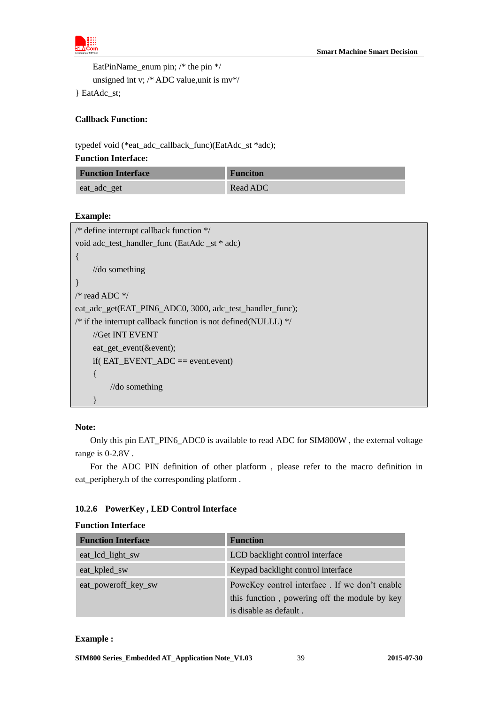

 EatPinName\_enum pin; /\* the pin \*/ unsigned int v; /\* ADC value,unit is mv\*/

} EatAdc\_st;

### **Callback Function:**

typedef void (\*eat\_adc\_callback\_func)(EatAdc\_st \*adc);

### **Function Interface:**

| <b>Function Interface</b> | <b>Funciton</b> |
|---------------------------|-----------------|
| eat_adc_get               | Read ADC        |

### **Example:**

| /* define interrupt callback function $*/$                       |
|------------------------------------------------------------------|
| void adc_test_handler_func (EatAdc_st * adc)                     |
|                                                                  |
| $//$ do something                                                |
|                                                                  |
| /* read ADC $*/$                                                 |
| eat_adc_get(EAT_PIN6_ADC0, 3000, adc_test_handler_func);         |
| /* if the interrupt callback function is not defined(NULLL) $*/$ |
| //Get INT EVENT                                                  |
| eat_get_event(&event);                                           |
| if( $EAT$ _EVENT_ADC == event.event)                             |
| ł                                                                |
| $\frac{1}{\log 2}$                                               |
|                                                                  |

### **Note:**

Only this pin EAT\_PIN6\_ADC0 is available to read ADC for SIM800W , the external voltage range is 0-2.8V .

For the ADC PIN definition of other platform , please refer to the macro definition in eat\_periphery.h of the corresponding platform .

### <span id="page-38-0"></span>**10.2.6 PowerKey , LED Control Interface**

|  | <b>Function Interface</b> |  |
|--|---------------------------|--|
|  |                           |  |

| <b>Function Interface</b> | <b>Function</b>                               |
|---------------------------|-----------------------------------------------|
| eat_lcd_light_sw          | LCD backlight control interface               |
| eat_kpled_sw              | Keypad backlight control interface            |
| eat_poweroff_key_sw       | PoweKey control interface. If we don't enable |
|                           | this function, powering off the module by key |
|                           | is disable as default.                        |

### **Example :**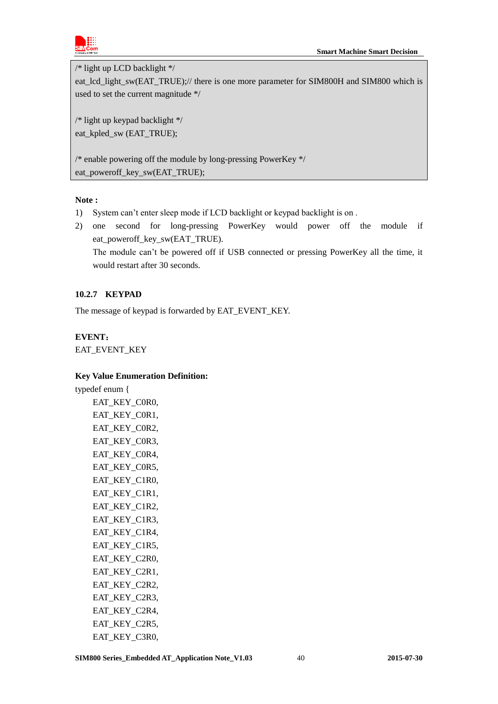

/\* light up LCD backlight \*/

eat\_lcd\_light\_sw(EAT\_TRUE);// there is one more parameter for SIM800H and SIM800 which is used to set the current magnitude \*/

/\* light up keypad backlight \*/ eat\_kpled\_sw (EAT\_TRUE);

/\* enable powering off the module by long-pressing PowerKey \*/ eat\_poweroff\_key\_sw(EAT\_TRUE);

### **Note :**

- 1) System can't enter sleep mode if LCD backlight or keypad backlight is on .
- 2) one second for long-pressing PowerKey would power off the module if eat\_poweroff\_key\_sw(EAT\_TRUE).

The module can't be powered off if USB connected or pressing PowerKey all the time, it would restart after 30 seconds.

### <span id="page-39-0"></span>**10.2.7 KEYPAD**

The message of keypad is forwarded by EAT\_EVENT\_KEY.

### **EVENT**:

EAT\_EVENT\_KEY

### **Key Value Enumeration Definition:**

typedef enum { EAT\_KEY\_C0R0, EAT\_KEY\_C0R1, EAT\_KEY\_C0R2, EAT\_KEY\_C0R3, EAT\_KEY\_C0R4, EAT\_KEY\_C0R5, EAT\_KEY\_C1R0, EAT\_KEY\_C1R1, EAT\_KEY\_C1R2, EAT\_KEY\_C1R3, EAT\_KEY\_C1R4, EAT\_KEY\_C1R5, EAT\_KEY\_C2R0, EAT\_KEY\_C2R1, EAT\_KEY\_C2R2, EAT KEY C2R3, EAT\_KEY\_C2R4, EAT\_KEY\_C2R5, EAT\_KEY\_C3R0,

**SIM800 Series\_Embedded AT\_Application Note\_V1.03** 40 **2015-07-30**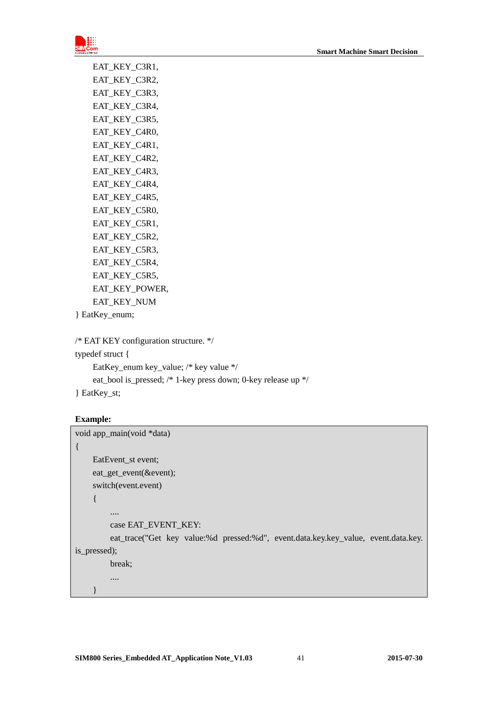

EAT\_KEY\_C3R1, EAT\_KEY\_C3R2, EAT\_KEY\_C3R3, EAT\_KEY\_C3R4, EAT\_KEY\_C3R5, EAT\_KEY\_C4R0, EAT\_KEY\_C4R1, EAT\_KEY\_C4R2, EAT\_KEY\_C4R3, EAT\_KEY\_C4R4, EAT KEY C4R5, EAT\_KEY\_C5R0, EAT\_KEY\_C5R1, EAT\_KEY\_C5R2, EAT\_KEY\_C5R3, EAT\_KEY\_C5R4, EAT\_KEY\_C5R5, EAT\_KEY\_POWER, EAT\_KEY\_NUM

} EatKey\_enum;

```
/* EAT KEY configuration structure. */
```
typedef struct { EatKey\_enum key\_value; /\* key value \*/ eat\_bool is\_pressed; /\* 1-key press down; 0-key release up \*/

} EatKey\_st;

### **Example:**

}

```
void app_main(void *data)
{
     EatEvent_st event;
    eat get event(&event);
    switch(event.event)
     {
         ....
         case EAT_EVENT_KEY:
         eat_trace("Get key value:%d pressed:%d", event.data.key.key_value, event.data.key. 
is pressed);
         break;
         ....
```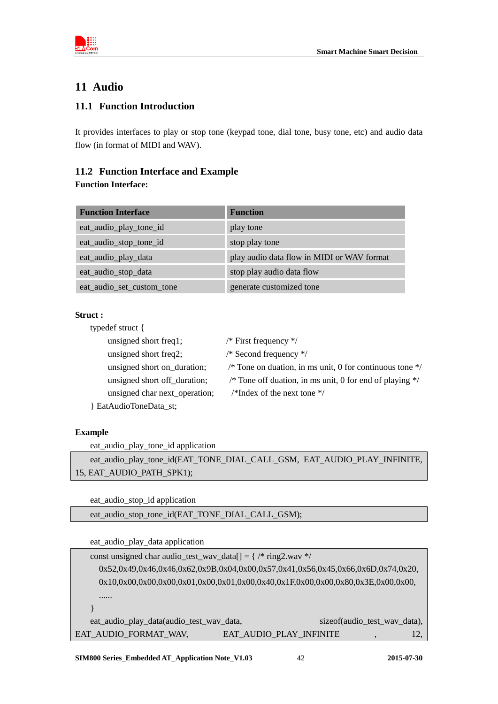

# <span id="page-41-0"></span>**11 Audio**

### <span id="page-41-1"></span>**11.1 Function Introduction**

It provides interfaces to play or stop tone (keypad tone, dial tone, busy tone, etc) and audio data flow (in format of MIDI and WAV).

### <span id="page-41-2"></span>**11.2 Function Interface and Example**

### **Function Interface:**

| <b>Function Interface</b> | <b>Function</b>                            |
|---------------------------|--------------------------------------------|
| eat_audio_play_tone_id    | play tone                                  |
| eat_audio_stop_tone_id    | stop play tone                             |
| eat_audio_play_data       | play audio data flow in MIDI or WAV format |
| eat_audio_stop_data       | stop play audio data flow                  |
| eat_audio_set_custom_tone | generate customized tone                   |

### **Struct :**

| typedef struct {              |                                                                     |
|-------------------------------|---------------------------------------------------------------------|
| unsigned short freq1;         | /* First frequency $*/$                                             |
| unsigned short freq2;         | /* Second frequency $*/$                                            |
| unsigned short on_duration;   | /* Tone on duation, in ms unit, 0 for continuous tone $\frac{1}{2}$ |
| unsigned short off_duration;  | /* Tone off duation, in ms unit, 0 for end of playing $*/$          |
| unsigned char next_operation; | /*Index of the next tone $\frac{*}{ }$                              |
| EatAudioToneData_st;          |                                                                     |

### **Example**

eat\_audio\_play\_tone\_id application

eat\_audio\_play\_tone\_id(EAT\_TONE\_DIAL\_CALL\_GSM, EAT\_AUDIO\_PLAY\_INFINITE, 15, EAT\_AUDIO\_PATH\_SPK1);

eat\_audio\_stop\_id application

eat\_audio\_stop\_tone\_id(EAT\_TONE\_DIAL\_CALL\_GSM);

eat\_audio\_play\_data application

| const unsigned char audio_test_wav_data[] = $\frac{7}{8}$ ring2.wav */           |                         |                              |  |     |
|----------------------------------------------------------------------------------|-------------------------|------------------------------|--|-----|
| 0x52,0x49,0x46,0x46,0x62,0x9B,0x04,0x00,0x57,0x41,0x56,0x45,0x66,0x6D,0x74,0x20, |                         |                              |  |     |
| 0x10,0x00,0x00,0x00,0x01,0x00,0x01,0x00,0x40,0x1F,0x00,0x00,0x80,0x3E,0x00,0x00, |                         |                              |  |     |
| .                                                                                |                         |                              |  |     |
|                                                                                  |                         |                              |  |     |
| eat_audio_play_data(audio_test_wav_data,                                         |                         | sizeof(audio_test_way_data), |  |     |
| EAT_AUDIO_FORMAT_WAV,                                                            | EAT_AUDIO_PLAY_INFINITE |                              |  | 12, |
|                                                                                  |                         |                              |  |     |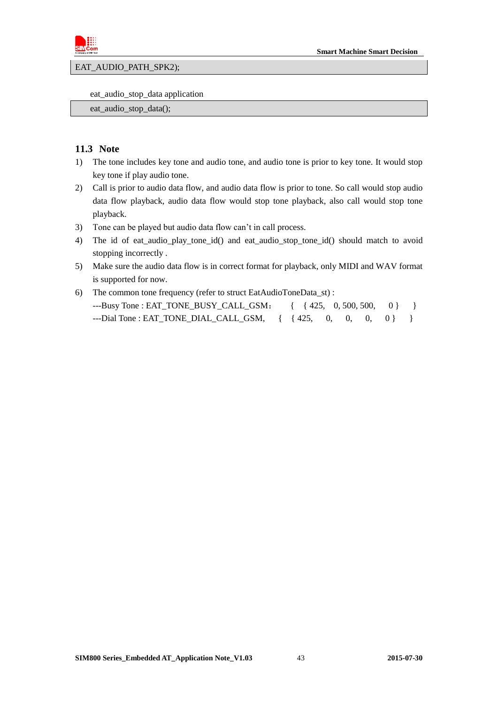

EAT\_AUDIO\_PATH\_SPK2);

eat\_audio\_stop\_data application

eat\_audio\_stop\_data();

### <span id="page-42-0"></span>**11.3 Note**

- 1) The tone includes key tone and audio tone, and audio tone is prior to key tone. It would stop key tone if play audio tone.
- 2) Call is prior to audio data flow, and audio data flow is prior to tone. So call would stop audio data flow playback, audio data flow would stop tone playback, also call would stop tone playback.
- 3) Tone can be played but audio data flow can't in call process.
- 4) The id of eat\_audio\_play\_tone\_id() and eat\_audio\_stop\_tone\_id() should match to avoid stopping incorrectly .
- 5) Make sure the audio data flow is in correct format for playback, only MIDI and WAV format is supported for now.
- 6) The common tone frequency (refer to struct EatAudioToneData\_st) : ---Busy Tone : EAT\_TONE\_BUSY\_CALL\_GSM: { { 425, 0, 500, 500, 0} } ---Dial Tone : EAT\_TONE\_DIAL\_CALL\_GSM, { { 425, 0, 0, 0, 0} }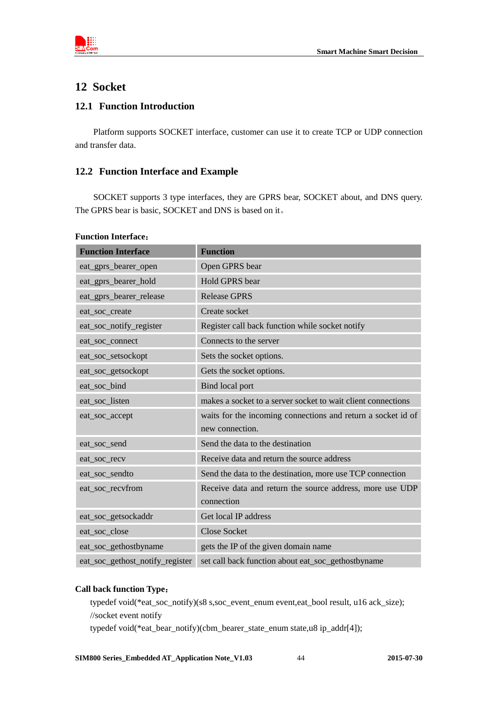

### <span id="page-43-0"></span>**12 Socket**

### <span id="page-43-1"></span>**12.1 Function Introduction**

Platform supports SOCKET interface, customer can use it to create TCP or UDP connection and transfer data.

### <span id="page-43-2"></span>**12.2 Function Interface and Example**

SOCKET supports 3 type interfaces, they are GPRS bear, SOCKET about, and DNS query. The GPRS bear is basic, SOCKET and DNS is based on it。

| <b>Function Interface</b>       | <b>Function</b>                                              |
|---------------------------------|--------------------------------------------------------------|
| eat_gprs_bearer_open            | Open GPRS bear                                               |
| eat_gprs_bearer_hold            | Hold GPRS bear                                               |
| eat_gprs_bearer_release         | <b>Release GPRS</b>                                          |
| eat_soc_create                  | Create socket                                                |
| eat_soc_notify_register         | Register call back function while socket notify              |
| eat_soc_connect                 | Connects to the server                                       |
| eat_soc_setsockopt              | Sets the socket options.                                     |
| eat_soc_getsockopt              | Gets the socket options.                                     |
| eat_soc_bind                    | Bind local port                                              |
| eat_soc_listen                  | makes a socket to a server socket to wait client connections |
| eat_soc_accept                  | waits for the incoming connections and return a socket id of |
|                                 | new connection.                                              |
| eat_soc_send                    | Send the data to the destination                             |
| eat_soc_recv                    | Receive data and return the source address                   |
| eat_soc_sendto                  | Send the data to the destination, more use TCP connection    |
| eat_soc_recvfrom                | Receive data and return the source address, more use UDP     |
|                                 | connection                                                   |
| eat_soc_getsockaddr             | Get local IP address                                         |
| eat_soc_close                   | <b>Close Socket</b>                                          |
| eat_soc_gethostbyname           | gets the IP of the given domain name                         |
| eat_soc_gethost_notify_register | set call back function about eat_soc_gethostbyname           |

#### **Call back function Type**:

typedef void(\*eat\_soc\_notify)(s8 s,soc\_event\_enum event,eat\_bool result, u16 ack\_size); //socket event notify

typedef void(\*eat\_bear\_notify)(cbm\_bearer\_state\_enum state,u8 ip\_addr[4]);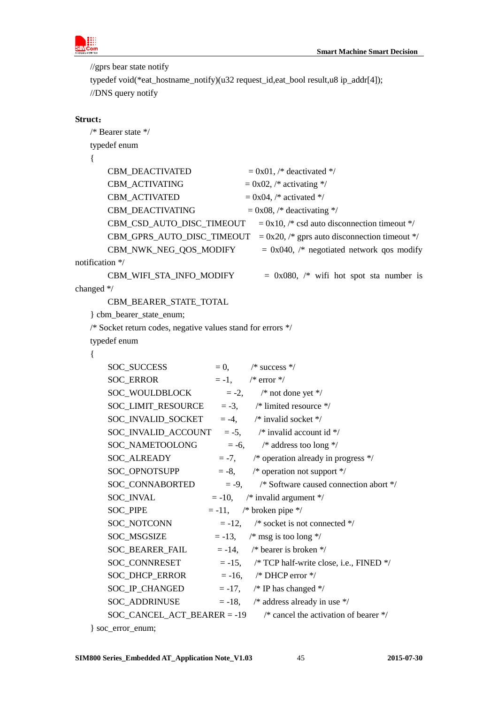

//gprs bear state notify

```
typedef void(*eat_hostname_notify)(u32 request_id,eat_bool result,u8 ip_addr[4]);
//DNS query notify
```
### **Struct**:

```
/* Bearer state */
   typedef enum
   {
       CBM_DEACTIVATED = 0x01, /* deactivated */
       CBM_ACTIVATING = 0x02, /* activating */
       CBM_ACTIVATED = 0x04, /* activated */
       CBM_DEACTIVATING = 0x08, /* deactivating */
       CBM\_CSD\_AUTO\_DISC\_TIMEOUT = <math>0x10</math>, <math>/*</math> csd auto disconnection timeout */CBM_GPRS_AUTO_DISC_TIMEOUT = 0x20, /* gprs auto disconnection timeout */
       CBM_NWK\_NEG\_QOS_MODIFY = 0x040, /* negotiated network qos modify
notification */
       CBM WIFI STA_INFO_MODIFY = 0x080, /* wifi hot spot sta number is
changed */
        CBM_BEARER_STATE_TOTAL
   } cbm_bearer_state_enum;
   /* Socket return codes, negative values stand for errors */
   typedef enum
   {
       SOC\_SUCCES = 0, /* success */
       SOC_ERROR = -1, /* error */
       SOC_WOULDBLOCK = -2, /* not done yet */
       SOC<sub>LIMIT_RESOURCE</sub> = -3, \frac{\pi}{3} limited resource */
       SOC_INVALID_SOCKET = -4, \frac{\pi}{3} /* invalid socket */
       SOC_INVALID_ACCOUNT = -5, \frac{\text{#} \times \text{``i}}{\text{#}} invalid account id */
       SOC_NAMETOOLONG = -6, /* address too long */SOC_A LREADV = -7, /* operation already in progress */
       SOC_OPNOTSUPP = -8, \frac{\text{#}}{\text{}} operation not support \frac{\text{#}}{\text{}}SOC_CONNABORTED = -9, /* Software caused connection abort */
       SOC_INVAL = -10, \frac{\text{#} \times \text{``i}}{\text{``i}} invalid argument \frac{\text{#}}{\text{``i}}SOC_PIPE = -11, /* broken pipe */
       SOC_NOTCONN = -12, /* socket is not connected */
       SOC_MSGSIZE = -13, \frac{\text{#}}{\text{mg}} is too long \frac{\text{#}}{\text{#}}SOC_BEARER_FAIL = -14, /* bearer is broken */
       SOC_{\text{2}}CONNRESET = -15, /* TCP half-write close, i.e., FINED */
       SOC\_DHCP\_ERROR = -16, /* DHCP error */
       SOC_\text{IP\_CHANGED} = -17, /* IP has changed */
       SOC_ADDRINUSE = -18, /* address already in use */
       SOC_CANCEL_ACT_BEARER = -19 /* cancel the activation of bearer */
```
<sup>}</sup> soc\_error\_enum;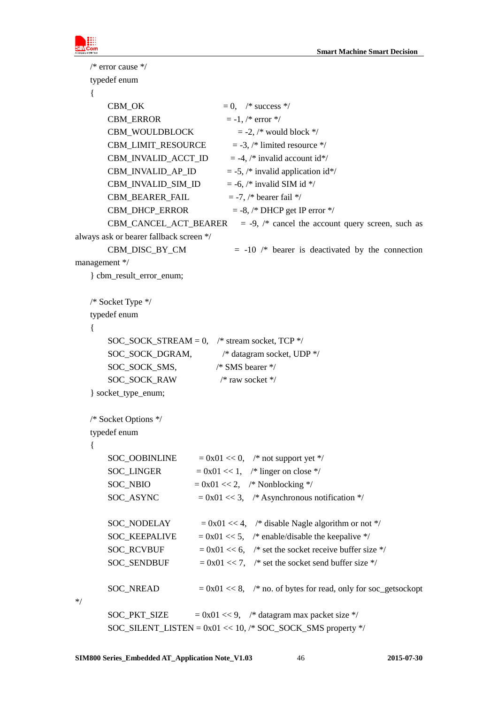```
/* error cause */
   typedef enum
   {
       CBM OK = 0, /* success */
       CBM_ERROR = -1, /* error */
       CBM_WOULDBLOCK = -2, /* would block */
       CBM_LIMIT_RESOURCE = -3, /* limited resource */
       CBM_INVALID_ACCT_ID = -4, /* invalid account id*/
       CBM_INVALID_AP_ID = -5, /* invalid application id*/
       CBM_INVALID_SIM_ID = -6, /* invalid SIM id */
       CBM_BEARER_FAIL = -7, /* bearer fail */
       CBM_DHCP_ERROR = -8, /* DHCP get IP error */
       CBM_CANCEL_ACT_BEARER = -9, /* cancel the account query screen, such as
always ask or bearer fallback screen */
       CBM_DISC_BY_CM = -10 /* bearer is deactivated by the connection
management */
   } cbm_result_error_enum;
   /* Socket Type */
   typedef enum
   {
       SOC_SOCK_STREAM = 0, \frac{\text{# stream socket}}{\text{ stream socket}}, TCP */
       SOC_SOCK_DGRAM, \frac{\text{#}\xi}{\text{#}} datagram socket, UDP */
        SOC_SOCK_SMS, /* SMS bearer */
       SOC_SOCK_RAW /* raw socket */
   } socket_type_enum;
   /* Socket Options */
   typedef enum
   {
       SOC_OOBINLINE = 0x01 \ll 0, /* not support yet */
       SOC_LINGER = 0x01 \ll 1, /* linger on close */
       SOC_NBIO = 0x01 \ll 2, /* Nonblocking */
       SOC_A SYNC = 0x01 \ll 3, /* Asynchronous notification */
       SOC_NODELAY = 0x01 \ll 4, /* disable Nagle algorithm or not */
       SOC_KEEPALIVE = 0x01 \ll 5, /* enable/disable the keepalive */
       SOC_RCVBUF = 0x01 \ll 6, /* set the socket receive buffer size */
       SOC_SENDBUF = 0x01 \ll 7, /* set the socket send buffer size */
       SOC_NREAD = 0x01 \ll 8, /* no. of bytes for read, only for soc_getsockopt
*/
       SOC_PKT_SIZE = 0x01 \ll 9, /* datagram max packet size */
       SOC_SILENT_LISTEN = 0x01 \ll 10, /* SOC_SOCK_SMS property */
```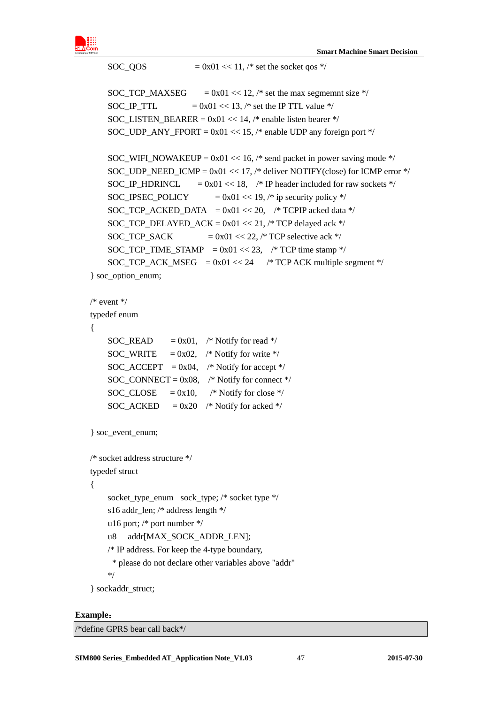

```
SOC_QOS = 0x01 \ll 11, /* set the socket qos */
    SOC_TCP_MAXSEG = 0x01 \ll 12, /* set the max segmemnt size */
    SOC_IP_TTL = 0x01 \ll 13, /* set the IP TTL value */
    SOC_LISTEN_BEARER = 0x01 \ll 14, /* enable listen bearer */
    SOC_UDP_ANY_FPORT = 0x01 \ll 15, /* enable UDP any foreign port */
    SOC_WIFI_NOWAKEUP = 0x01 \ll 16, /* send packet in power saving mode */
    SOC_UDP_NEED_ICMP = 0x01 \ll 17, /* deliver NOTIFY(close) for ICMP error */
    SOC_IP_HDRINCL = 0x01 \ll 18, /* IP header included for raw sockets */
    SOC_IPSEC_POLICY = 0x01 \ll 19, /* ip security policy */
    SOC_TCP_ACKED_DATA = 0x01 \ll 20, /* TCPIP acked data */
    SOC_TCP_DELAYED_ACK = 0x01 \ll 21, /* TCP delayed ack */
    SOC_TCP_SACK = 0x01 \ll 22, /* TCP selective ack */
    SOC_TCP_TIME_STAMP = 0x01 \ll 23, /* TCP time stamp */
    SOC_TCP_ACK_MSEG = 0x01 \ll 24 /* TCP ACK multiple segment */
} soc_option_enum;
/* event */typedef enum
    SOC_READ = 0x01, /* Notify for read */
    SOC_WRITE = 0x02, /* Notify for write */
    SOC_A CCEPT = 0x04, /* Notify for accept */
    SOC_CONNECT = 0x08, /* Notify for connect */
    SOC_CLOSE = 0x10, /* Notify for close */
    SOC_ACKED = 0x20 /* Notify for acked */
} soc_event_enum;
/* socket address structure */
typedef struct 
     socket_type_enum sock_type; /* socket type */
     s16 addr_len; /* address length */
     u16 port; /* port number */
    u8 addr[MAX_SOCK_ADDR_LEN];
    /* IP address. For keep the 4-type boundary,
      * please do not declare other variables above "addr"
     */
} sockaddr_struct;
```
#### **Example**:

{

{

/\*define GPRS bear call back\*/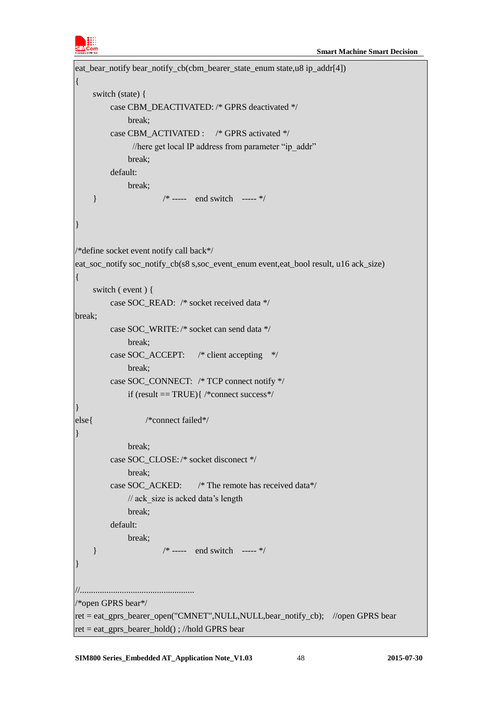

```
eat bear notify bear notify cb(cbm bearer state enum state,u8 ip addr[4])
{
     switch (state) {
         case CBM_DEACTIVATED: /* GPRS deactivated */
               break;
         case CBM_ACTIVATED : /* GPRS activated */
               //here get local IP address from parameter "ip_addr"
               break;
          default:
               break;
    } /* \dots end switch --- */
}
/*define socket event notify call back*/
eat_soc_notify soc_notify_cb(s8 s,soc_event_enum event,eat_bool result, u16 ack_size)
{
     switch ( event ) {
          case SOC_READ: /* socket received data */
break;
          case SOC_WRITE: /* socket can send data */
               break;
          case SOC_ACCEPT: /* client accepting */
               break;
          case SOC_CONNECT: /* TCP connect notify */
               if (result == TRUE){ /*connect success*/
}
else{ /*connect failed*/
}
               break;
          case SOC_CLOSE:/* socket disconect */
               break;
          case SOC_ACKED: /* The remote has received data*/
              // ack size is acked data's length
               break;
          default:
               break;
    } /* \dots end switch --- */
}
//....................................................
/*open GPRS bear*/
ret = eat_gprs_bearer_open("CMNET",NULL,NULL,bear_notify_cb); //open GPRS bear
ret = eat_gprs_bearer_hold() ; //hold GPRS bear
```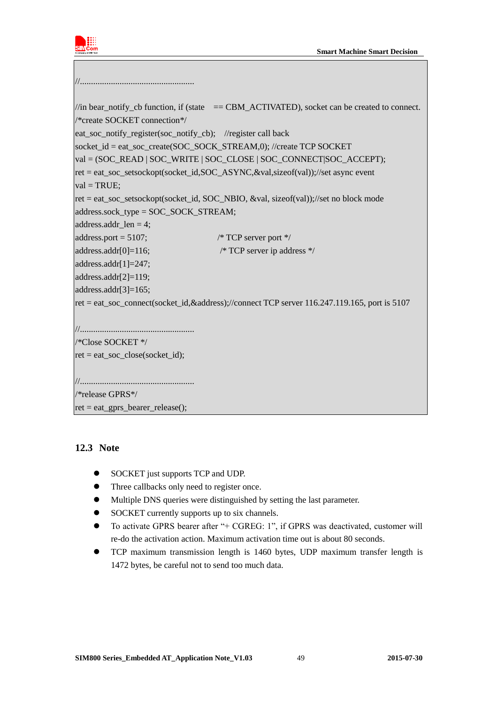

//.................................................... //in bear\_notify\_cb function, if (state  $=$  CBM\_ACTIVATED), socket can be created to connect. /\*create SOCKET connection\*/ eat soc\_notify\_register(soc\_notify\_cb); //register call back socket\_id = eat\_soc\_create(SOC\_SOCK\_STREAM,0); //create TCP SOCKET val = (SOC\_READ | SOC\_WRITE | SOC\_CLOSE | SOC\_CONNECT|SOC\_ACCEPT); ret = eat\_soc\_setsockopt(socket\_id,SOC\_ASYNC,&val,sizeof(val));//set async event  $val = TRUE$ :  $ret = eat\ soc\ setsockopt(sockets\ id, SOC\ NBIO, \&val,\ sizeof(val))$ ;//set no block mode address.sock\_type = SOC\_SOCK\_STREAM; address.addr  $len = 4$ ; address.port =  $5107$ ;  $\frac{\text{N} \cdot \text{TCP server port} \cdot \text{Self}}{\text{ٖ } \cdot \text{Order}}$ address.addr[0]=116; /\* TCP server ip address \*/ address.addr[1]=247; address.addr[2]=119; address.addr[3]=165; ret = eat\_soc\_connect(socket\_id,&address);//connect TCP server 116.247.119.165, port is 5107 //.................................................... /\*Close SOCKET \*/  $ret = eat\_soc\_close(sockets_id);$ //.................................................... /\*release GPRS\*/ ret = eat\_gprs\_bearer\_release();

### <span id="page-48-0"></span>**12.3 Note**

- SOCKET just supports TCP and UDP.
- Three callbacks only need to register once.
- Multiple DNS queries were distinguished by setting the last parameter.
- SOCKET currently supports up to six channels.
- To activate GPRS bearer after "+ CGREG: 1", if GPRS was deactivated, customer will re-do the activation action. Maximum activation time out is about 80 seconds.
- TCP maximum transmission length is 1460 bytes, UDP maximum transfer length is 1472 bytes, be careful not to send too much data.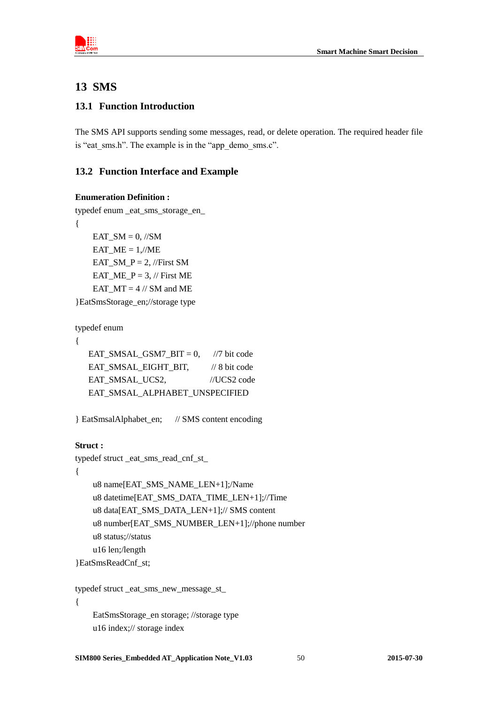

# <span id="page-49-0"></span>**13 SMS**

### <span id="page-49-1"></span>**13.1 Function Introduction**

The SMS API supports sending some messages, read, or delete operation. The required header file is "eat\_sms.h". The example is in the "app\_demo\_sms.c".

### <span id="page-49-2"></span>**13.2 Function Interface and Example**

### **Enumeration Definition :**

```
typedef enum _eat_sms_storage_en_
{
    EAT SM = 0, //SM
    EAT_ME = 1/\sqrt{ME}EAT SM P = 2, //First SM
    EAT ME P = 3, // First ME
    EAT MT = 4 // SM and ME
}EatSmsStorage_en;//storage type
```
typedef enum

```
{
```

```
EAT_SMSAL_GSM7_BIT = 0, //7 bit code
EAT_SMSAL_EIGHT_BIT, // 8 bit code
EAT_SMSAL_UCS2, //UCS2 code
 EAT_SMSAL_ALPHABET_UNSPECIFIED
```

```
} EatSmsalAlphabet_en; // SMS content encoding
```
### **Struct :**

```
typedef struct _eat_sms_read_cnf_st_
```
{

```
u8 name[EAT_SMS_NAME_LEN+1];/Name
 u8 datetime[EAT_SMS_DATA_TIME_LEN+1];//Time
 u8 data[EAT_SMS_DATA_LEN+1];// SMS content
 u8 number[EAT_SMS_NUMBER_LEN+1];//phone number
 u8 status;//status 
 u16 len;/length
```

```
}EatSmsReadCnf_st;
```

```
typedef struct _eat_sms_new_message_st_
{
    EatSmsStorage en storage; //storage type
     u16 index;// storage index
```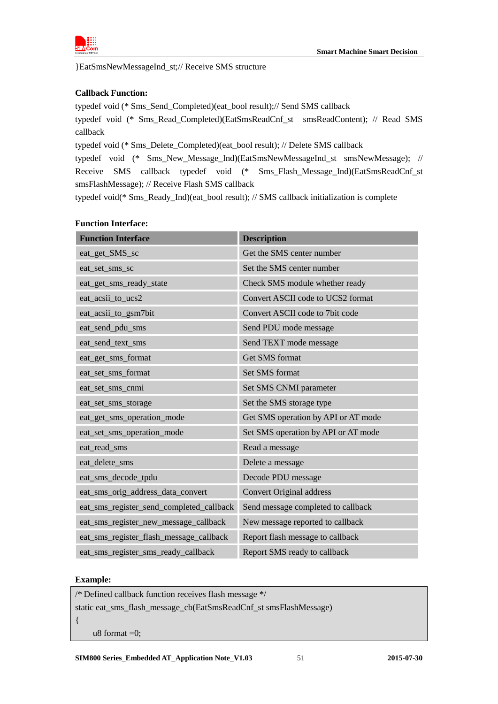

}EatSmsNewMessageInd\_st;// Receive SMS structure

### **Callback Function:**

typedef void (\* Sms\_Send\_Completed)(eat\_bool result);// Send SMS callback typedef void (\* Sms\_Read\_Completed)(EatSmsReadCnf\_st smsReadContent); // Read SMS callback

typedef void (\* Sms\_Delete\_Completed)(eat\_bool result); // Delete SMS callback

typedef void (\* Sms\_New\_Message\_Ind)(EatSmsNewMessageInd\_st smsNewMessage); // Receive SMS callback typedef void (\* Sms\_Flash\_Message\_Ind)(EatSmsReadCnf\_st smsFlashMessage); // Receive Flash SMS callback

typedef void(\* Sms\_Ready\_Ind)(eat\_bool result); // SMS callback initialization is complete

### **Function Interface:**

| <b>Function Interface</b>                | <b>Description</b>                  |
|------------------------------------------|-------------------------------------|
| eat_get_SMS_sc                           | Get the SMS center number           |
| eat_set_sms_sc                           | Set the SMS center number           |
| eat_get_sms_ready_state                  | Check SMS module whether ready      |
| eat_acsii_to_ucs2                        | Convert ASCII code to UCS2 format   |
| eat_acsii_to_gsm7bit                     | Convert ASCII code to 7bit code     |
| eat_send_pdu_sms                         | Send PDU mode message               |
| eat_send_text_sms                        | Send TEXT mode message              |
| eat_get_sms_format                       | Get SMS format                      |
| eat_set_sms_format                       | Set SMS format                      |
| eat_set_sms_cnmi                         | Set SMS CNMI parameter              |
| eat_set_sms_storage                      | Set the SMS storage type            |
| eat_get_sms_operation_mode               | Get SMS operation by API or AT mode |
| eat_set_sms_operation_mode               | Set SMS operation by API or AT mode |
| eat_read_sms                             | Read a message                      |
| eat_delete_sms                           | Delete a message                    |
| eat_sms_decode_tpdu                      | Decode PDU message                  |
| eat_sms_orig_address_data_convert        | <b>Convert Original address</b>     |
| eat_sms_register_send_completed_callback | Send message completed to callback  |
| eat_sms_register_new_message_callback    | New message reported to callback    |
| eat_sms_register_flash_message_callback  | Report flash message to callback    |
| eat_sms_register_sms_ready_callback      | Report SMS ready to callback        |

#### **Example:**

/\* Defined callback function receives flash message \*/ static eat\_sms\_flash\_message\_cb(EatSmsReadCnf\_st smsFlashMessage) { u8 format  $=0$ ;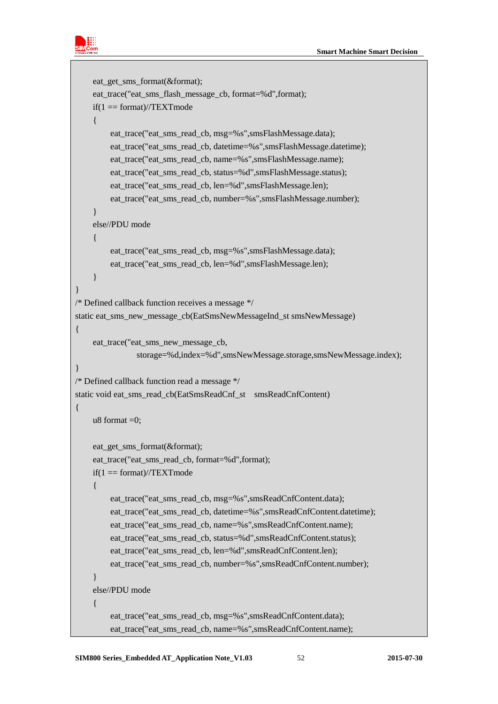

```
 eat_get_sms_format(&format);
     eat_trace("eat_sms_flash_message_cb, format=%d",format);
    if(1 == format)/\sqrt{TEXTmode} {
         eat trace("eat sms read cb, msg=%s",smsFlashMessage.data);
          eat_trace("eat_sms_read_cb, datetime=%s",smsFlashMessage.datetime);
          eat_trace("eat_sms_read_cb, name=%s",smsFlashMessage.name);
          eat_trace("eat_sms_read_cb, status=%d",smsFlashMessage.status);
          eat_trace("eat_sms_read_cb, len=%d",smsFlashMessage.len);
         eat trace("eat sms read cb, number=%s",smsFlashMessage.number);
 }
     else//PDU mode
     {
          eat_trace("eat_sms_read_cb, msg=%s",smsFlashMessage.data);
          eat_trace("eat_sms_read_cb, len=%d",smsFlashMessage.len);
 }
}
/* Defined callback function receives a message */
static eat_sms_new_message_cb(EatSmsNewMessageInd_st smsNewMessage)
{
    eat trace("eat sms new message cb,
                storage=%d,index=%d",smsNewMessage.storage,smsNewMessage.index);
}
/* Defined callback function read a message */
static void eat_sms_read_cb(EatSmsReadCnf_st smsReadCnfContent)
{
    u8 format =0;
     eat_get_sms_format(&format);
     eat_trace("eat_sms_read_cb, format=%d",format);
    if(1 == format)/\sqrt{TEXTmode} {
          eat_trace("eat_sms_read_cb, msg=%s",smsReadCnfContent.data);
          eat_trace("eat_sms_read_cb, datetime=%s",smsReadCnfContent.datetime);
          eat_trace("eat_sms_read_cb, name=%s",smsReadCnfContent.name);
          eat_trace("eat_sms_read_cb, status=%d",smsReadCnfContent.status);
         eat trace("eat sms read cb, len=%d",smsReadCnfContent.len);
          eat_trace("eat_sms_read_cb, number=%s",smsReadCnfContent.number);
 }
     else//PDU mode
\left\{\begin{array}{ccc} \end{array}\right\}eat trace("eat sms read cb, msg=%s",smsReadCnfContent.data);
         eat trace("eat sms read cb, name=%s", smsReadCnfContent.name);
```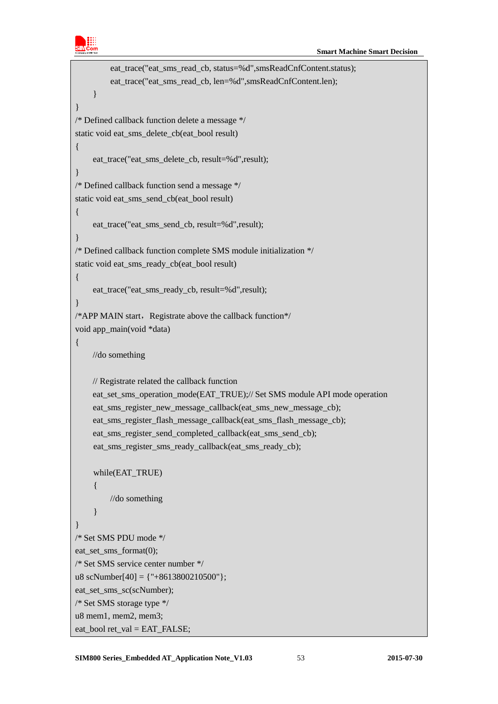

```
eat trace("eat sms read cb, status=%d",smsReadCnfContent.status);
          eat_trace("eat_sms_read_cb, len=%d",smsReadCnfContent.len);
     }
}
/* Defined callback function delete a message */
static void eat_sms_delete_cb(eat_bool result)
{
     eat_trace("eat_sms_delete_cb, result=%d",result);
}
/* Defined callback function send a message */
static void eat_sms_send_cb(eat_bool result)
{
    eat trace("eat sms send cb, result=%d",result);
}
/* Defined callback function complete SMS module initialization */
static void eat_sms_ready_cb(eat_bool result)
{
     eat_trace("eat_sms_ready_cb, result=%d",result);
}
/*APP MAIN start, Registrate above the callback function*/
void app_main(void *data)
{
    //do something
    // Registrate related the callback function 
    eat_set_sms_operation_mode(EAT_TRUE);// Set SMS module API mode operation
    eat sms register new message callback(eat sms new message cb);
     eat_sms_register_flash_message_callback(eat_sms_flash_message_cb);
     eat_sms_register_send_completed_callback(eat_sms_send_cb);
    eat_sms_register_sms_ready_callback(eat_sms_ready_cb);
    while(EAT_TRUE)
     {
         //do something
    }
}
/* Set SMS PDU mode */
eat set sms format(0);
/* Set SMS service center number */
u8 scNumber[40] = {''+8613800210500"};
eat_set_sms_sc(scNumber);
/* Set SMS storage type */
u8 mem1, mem2, mem3;
eat bool ret val = EAT FALSE:
```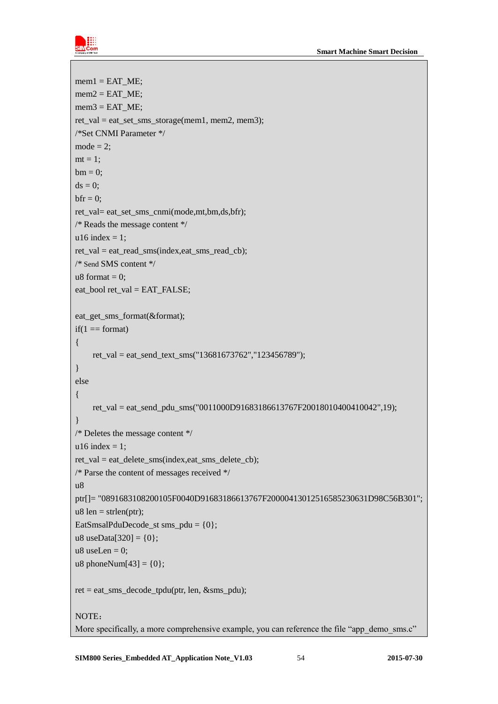

```
mem1 = EAT ME;
mem2 = EAT ME;
mem3 = EAT ME;
ret_val = eat_set_sms_storage(mem1, mem2, mem3);
/*Set CNMI Parameter */
mode = 2:
mt = 1;
bm = 0:
ds = 0;
bf = 0:
ret_val= eat_set_sms_cnmi(mode,mt,bm,ds,bfr);
/* Reads the message content */
u16 index = 1;
ret_val = eat_read_sms(index,eat_sms_read_cb);
/* Send SMS content */
u8 format = 0:
eat_bool ret_val = EAT_FALSE;
eat_get_sms_format(&format);
if(1 == format){
    ret_val = eat_send_text_sms("13681673762","123456789");
}
else
{
    ret val = eat send pdu sms("0011000D91683186613767F20018010400410042",19);
}
/* Deletes the message content */
u16 index = 1;
ret_val = eat_delete_sms(index,eat_sms_delete_cb);
/* Parse the content of messages received */
u8
ptr[]= "0891683108200105F0040D91683186613767F20000413012516585230631D98C56B301";
u8 len = strlen(ptr);
EatSmsalPduDecode_st sms_pdu = \{0\};
u8 useData[320] = \{0\};
u8 useLen = 0;
u8 phoneNum[43] = \{0\};
ret = eat_sms_decode_tpdu(ptr, len, &sms_pdu);
NOTE:
More specifically, a more comprehensive example, you can reference the file "app_demo_sms.c"
```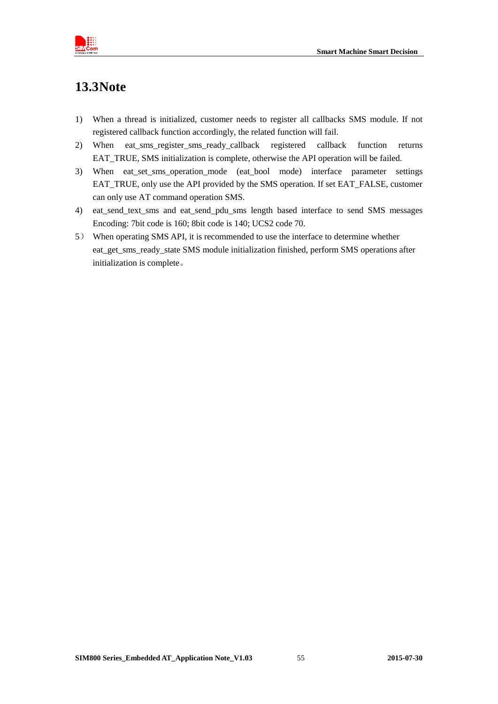

# <span id="page-54-0"></span>**13.3Note**

- 1) When a thread is initialized, customer needs to register all callbacks SMS module. If not registered callback function accordingly, the related function will fail.
- 2) When eat sms register sms ready callback registered callback function returns EAT\_TRUE, SMS initialization is complete, otherwise the API operation will be failed.
- 3) When eat\_set\_sms\_operation\_mode (eat\_bool mode) interface parameter settings EAT\_TRUE, only use the API provided by the SMS operation. If set EAT\_FALSE, customer can only use AT command operation SMS.
- 4) eat\_send\_text\_sms and eat\_send\_pdu\_sms length based interface to send SMS messages Encoding: 7bit code is 160; 8bit code is 140; UCS2 code 70.
- 5) When operating SMS API, it is recommended to use the interface to determine whether eat\_get\_sms\_ready\_state SMS module initialization finished, perform SMS operations after initialization is complete。